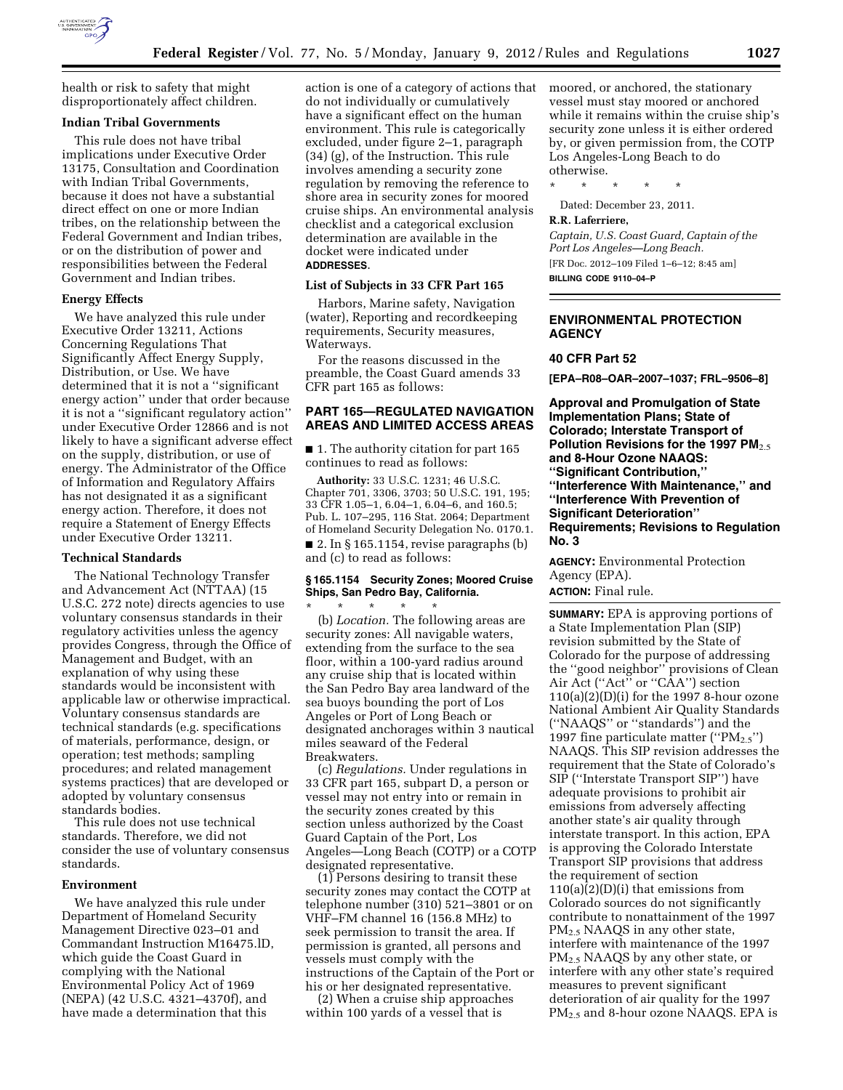

health or risk to safety that might disproportionately affect children.

# **Indian Tribal Governments**

This rule does not have tribal implications under Executive Order 13175, Consultation and Coordination with Indian Tribal Governments, because it does not have a substantial direct effect on one or more Indian tribes, on the relationship between the Federal Government and Indian tribes, or on the distribution of power and responsibilities between the Federal Government and Indian tribes.

#### **Energy Effects**

We have analyzed this rule under Executive Order 13211, Actions Concerning Regulations That Significantly Affect Energy Supply, Distribution, or Use. We have determined that it is not a ''significant energy action'' under that order because it is not a ''significant regulatory action'' under Executive Order 12866 and is not likely to have a significant adverse effect on the supply, distribution, or use of energy. The Administrator of the Office of Information and Regulatory Affairs has not designated it as a significant energy action. Therefore, it does not require a Statement of Energy Effects under Executive Order 13211.

### **Technical Standards**

The National Technology Transfer and Advancement Act (NTTAA) (15 U.S.C. 272 note) directs agencies to use voluntary consensus standards in their regulatory activities unless the agency provides Congress, through the Office of Management and Budget, with an explanation of why using these standards would be inconsistent with applicable law or otherwise impractical. Voluntary consensus standards are technical standards (e.g. specifications of materials, performance, design, or operation; test methods; sampling procedures; and related management systems practices) that are developed or adopted by voluntary consensus standards bodies.

This rule does not use technical standards. Therefore, we did not consider the use of voluntary consensus standards.

### **Environment**

We have analyzed this rule under Department of Homeland Security Management Directive 023–01 and Commandant Instruction M16475.lD, which guide the Coast Guard in complying with the National Environmental Policy Act of 1969 (NEPA) (42 U.S.C. 4321–4370f), and have made a determination that this

action is one of a category of actions that do not individually or cumulatively have a significant effect on the human environment. This rule is categorically excluded, under figure 2–1, paragraph (34) (g), of the Instruction. This rule involves amending a security zone regulation by removing the reference to shore area in security zones for moored cruise ships. An environmental analysis checklist and a categorical exclusion determination are available in the docket were indicated under **ADDRESSES**.

### **List of Subjects in 33 CFR Part 165**

Harbors, Marine safety, Navigation (water), Reporting and recordkeeping requirements, Security measures, Waterways.

For the reasons discussed in the preamble, the Coast Guard amends 33 CFR part 165 as follows:

# **PART 165—REGULATED NAVIGATION AREAS AND LIMITED ACCESS AREAS**

■ 1. The authority citation for part 165 continues to read as follows:

**Authority:** 33 U.S.C. 1231; 46 U.S.C. Chapter 701, 3306, 3703; 50 U.S.C. 191, 195; 33 CFR 1.05–1, 6.04–1, 6.04–6, and 160.5; Pub. L. 107–295, 116 Stat. 2064; Department of Homeland Security Delegation No. 0170.1.  $\blacksquare$  2. In § 165.1154, revise paragraphs (b) and (c) to read as follows:

# **§ 165.1154 Security Zones; Moored Cruise Ships, San Pedro Bay, California.**

\* \* \* \* \* (b) *Location.* The following areas are security zones: All navigable waters, extending from the surface to the sea floor, within a 100-yard radius around any cruise ship that is located within the San Pedro Bay area landward of the sea buoys bounding the port of Los Angeles or Port of Long Beach or designated anchorages within 3 nautical miles seaward of the Federal Breakwaters.

(c) *Regulations.* Under regulations in 33 CFR part 165, subpart D, a person or vessel may not entry into or remain in the security zones created by this section unless authorized by the Coast Guard Captain of the Port, Los Angeles—Long Beach (COTP) or a COTP designated representative.

(1) Persons desiring to transit these security zones may contact the COTP at telephone number (310) 521–3801 or on VHF–FM channel 16 (156.8 MHz) to seek permission to transit the area. If permission is granted, all persons and vessels must comply with the instructions of the Captain of the Port or his or her designated representative.

(2) When a cruise ship approaches within 100 yards of a vessel that is

moored, or anchored, the stationary vessel must stay moored or anchored while it remains within the cruise ship's security zone unless it is either ordered by, or given permission from, the COTP Los Angeles-Long Beach to do otherwise.

\* \* \* \* \*

Dated: December 23, 2011.

#### **R.R. Laferriere,**

*Captain, U.S. Coast Guard, Captain of the Port Los Angeles—Long Beach.*  [FR Doc. 2012–109 Filed 1–6–12; 8:45 am] **BILLING CODE 9110–04–P** 

# **ENVIRONMENTAL PROTECTION AGENCY**

# **40 CFR Part 52**

**[EPA–R08–OAR–2007–1037; FRL–9506–8]** 

**Approval and Promulgation of State Implementation Plans; State of Colorado; Interstate Transport of Pollution Revisions for the 1997 PM**2.5 **and 8-Hour Ozone NAAQS: ''Significant Contribution,'' ''Interference With Maintenance,'' and ''Interference With Prevention of Significant Deterioration'' Requirements; Revisions to Regulation No. 3** 

**AGENCY:** Environmental Protection Agency (EPA). **ACTION:** Final rule.

**SUMMARY:** EPA is approving portions of a State Implementation Plan (SIP) revision submitted by the State of Colorado for the purpose of addressing the ''good neighbor'' provisions of Clean Air Act (''Act'' or ''CAA'') section  $110(a)(2)(D)(i)$  for the 1997 8-hour ozone National Ambient Air Quality Standards (''NAAQS'' or ''standards'') and the 1997 fine particulate matter (" $PM_{2.5}$ ") NAAQS. This SIP revision addresses the requirement that the State of Colorado's SIP (''Interstate Transport SIP'') have adequate provisions to prohibit air emissions from adversely affecting another state's air quality through interstate transport. In this action, EPA is approving the Colorado Interstate Transport SIP provisions that address the requirement of section  $110(a)(2)(D)(i)$  that emissions from Colorado sources do not significantly contribute to nonattainment of the 1997 PM2.5 NAAQS in any other state, interfere with maintenance of the 1997 PM2.5 NAAQS by any other state, or interfere with any other state's required measures to prevent significant deterioration of air quality for the 1997 PM2.5 and 8-hour ozone NAAQS. EPA is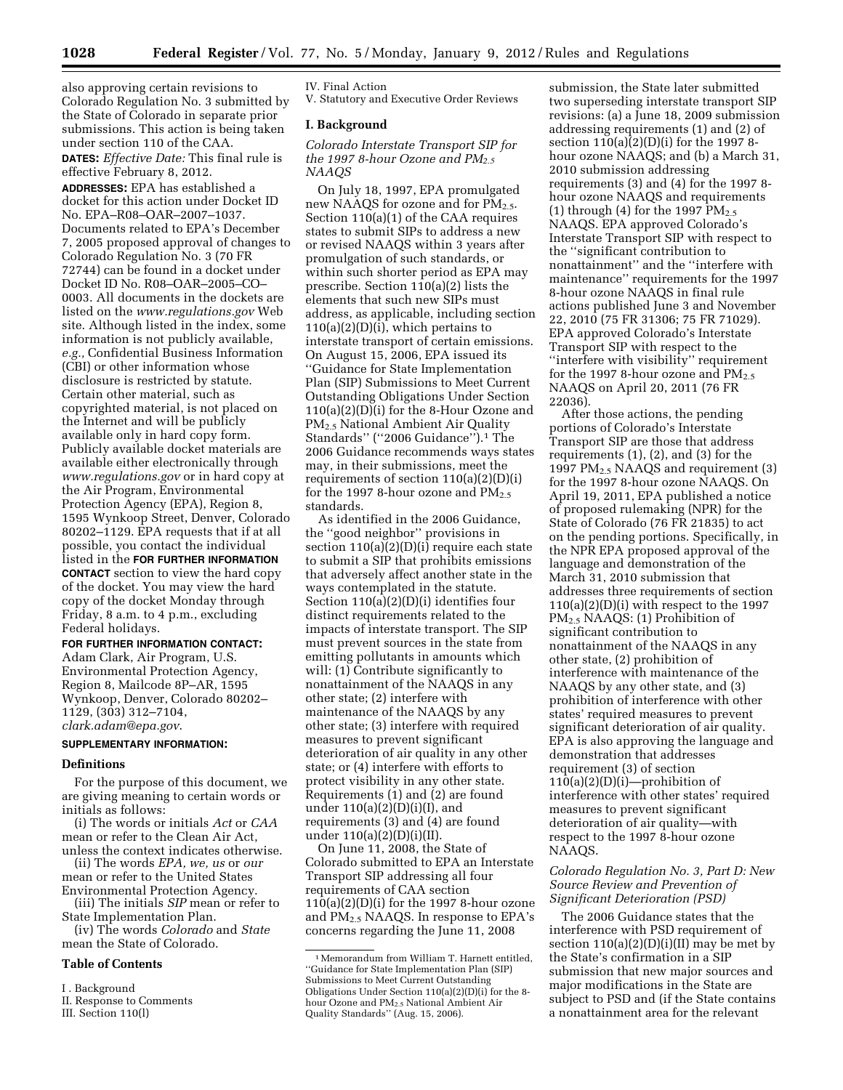also approving certain revisions to Colorado Regulation No. 3 submitted by the State of Colorado in separate prior submissions. This action is being taken under section 110 of the CAA. **DATES:** *Effective Date:* This final rule is effective February 8, 2012. **ADDRESSES:** EPA has established a docket for this action under Docket ID No. EPA–R08–OAR–2007–1037. Documents related to EPA's December 7, 2005 proposed approval of changes to Colorado Regulation No. 3 (70 FR 72744) can be found in a docket under Docket ID No. R08–OAR–2005–CO– 0003. All documents in the dockets are listed on the *[www.regulations.gov](http://www.regulations.gov)* Web site. Although listed in the index, some information is not publicly available, *e.g.,* Confidential Business Information (CBI) or other information whose disclosure is restricted by statute. Certain other material, such as copyrighted material, is not placed on the Internet and will be publicly available only in hard copy form. Publicly available docket materials are available either electronically through *[www.regulations.gov](http://www.regulations.gov)* or in hard copy at the Air Program, Environmental Protection Agency (EPA), Region 8, 1595 Wynkoop Street, Denver, Colorado 80202–1129. EPA requests that if at all possible, you contact the individual listed in the **FOR FURTHER INFORMATION CONTACT** section to view the hard copy of the docket. You may view the hard copy of the docket Monday through Friday, 8 a.m. to 4 p.m., excluding Federal holidays.

### **FOR FURTHER INFORMATION CONTACT:**

Adam Clark, Air Program, U.S. Environmental Protection Agency, Region 8, Mailcode 8P–AR, 1595 Wynkoop, Denver, Colorado 80202– 1129, (303) 312–7104, *[clark.adam@epa.gov](mailto:clark.adam@epa.gov)*.

#### **SUPPLEMENTARY INFORMATION:**

### **Definitions**

For the purpose of this document, we are giving meaning to certain words or initials as follows:

(i) The words or initials *Act* or *CAA*  mean or refer to the Clean Air Act, unless the context indicates otherwise.

(ii) The words *EPA, we, us* or *our*  mean or refer to the United States Environmental Protection Agency.

(iii) The initials *SIP* mean or refer to State Implementation Plan.

(iv) The words *Colorado* and *State*  mean the State of Colorado.

# **Table of Contents**

I . Background

III. Section 110(l)

IV. Final Action V. Statutory and Executive Order Reviews

### **I. Background**

*Colorado Interstate Transport SIP for the 1997 8-hour Ozone and PM2.5 NAAQS* 

On July 18, 1997, EPA promulgated new NAAQS for ozone and for PM<sub>2.5</sub>. Section 110(a)(1) of the CAA requires states to submit SIPs to address a new or revised NAAQS within 3 years after promulgation of such standards, or within such shorter period as EPA may prescribe. Section 110(a)(2) lists the elements that such new SIPs must address, as applicable, including section  $110(a)(2)(D)(i)$ , which pertains to interstate transport of certain emissions. On August 15, 2006, EPA issued its ''Guidance for State Implementation Plan (SIP) Submissions to Meet Current Outstanding Obligations Under Section 110(a)(2)(D)(i) for the 8-Hour Ozone and PM2.5 National Ambient Air Quality Standards'' (''2006 Guidance'').1 The 2006 Guidance recommends ways states may, in their submissions, meet the requirements of section  $110(a)(2)(D)(i)$ for the 1997 8-hour ozone and  $PM_{2.5}$ standards.

As identified in the 2006 Guidance, the ''good neighbor'' provisions in section 110(a)(2)(D)(i) require each state to submit a SIP that prohibits emissions that adversely affect another state in the ways contemplated in the statute. Section 110(a)(2)(D)(i) identifies four distinct requirements related to the impacts of interstate transport. The SIP must prevent sources in the state from emitting pollutants in amounts which will: (1) Contribute significantly to nonattainment of the NAAQS in any other state; (2) interfere with maintenance of the NAAQS by any other state; (3) interfere with required measures to prevent significant deterioration of air quality in any other state; or (4) interfere with efforts to protect visibility in any other state. Requirements (1) and (2) are found under 110(a)(2)(D)(i)(I), and requirements (3) and (4) are found under 110(a)(2)(D)(i)(II).

On June 11, 2008, the State of Colorado submitted to EPA an Interstate Transport SIP addressing all four requirements of CAA section  $110(a)(2)(D)(i)$  for the 1997 8-hour ozone and  $PM_{2.5}$  NAAQS. In response to EPA's concerns regarding the June 11, 2008

submission, the State later submitted two superseding interstate transport SIP revisions: (a) a June 18, 2009 submission addressing requirements (1) and (2) of section  $110(a)(2)(D)(i)$  for the 1997 8hour ozone NAAQS; and (b) a March 31, 2010 submission addressing requirements (3) and (4) for the 1997 8 hour ozone NAAQS and requirements (1) through (4) for the 1997  $PM_{2.5}$ NAAQS. EPA approved Colorado's Interstate Transport SIP with respect to the ''significant contribution to nonattainment'' and the ''interfere with maintenance'' requirements for the 1997 8-hour ozone NAAQS in final rule actions published June 3 and November 22, 2010 (75 FR 31306; 75 FR 71029). EPA approved Colorado's Interstate Transport SIP with respect to the ''interfere with visibility'' requirement for the 1997 8-hour ozone and  $PM_{2.5}$ NAAQS on April 20, 2011 (76 FR 22036).

After those actions, the pending portions of Colorado's Interstate Transport SIP are those that address requirements (1), (2), and (3) for the 1997 PM<sub>2.5</sub> NAAQS and requirement  $(3)$ for the 1997 8-hour ozone NAAQS. On April 19, 2011, EPA published a notice of proposed rulemaking (NPR) for the State of Colorado (76 FR 21835) to act on the pending portions. Specifically, in the NPR EPA proposed approval of the language and demonstration of the March 31, 2010 submission that addresses three requirements of section  $110(a)(2)(D(i))$  with respect to the 1997 PM2.5 NAAQS: (1) Prohibition of significant contribution to nonattainment of the NAAQS in any other state, (2) prohibition of interference with maintenance of the NAAQS by any other state, and (3) prohibition of interference with other states' required measures to prevent significant deterioration of air quality. EPA is also approving the language and demonstration that addresses requirement (3) of section  $110(a)(2)(D)(i)$ —prohibition of interference with other states' required measures to prevent significant deterioration of air quality—with respect to the 1997 8-hour ozone NAAQS.

# *Colorado Regulation No. 3, Part D: New Source Review and Prevention of Significant Deterioration (PSD)*

The 2006 Guidance states that the interference with PSD requirement of section  $110(a)(2)(D)(i)(II)$  may be met by the State's confirmation in a SIP submission that new major sources and major modifications in the State are subject to PSD and (if the State contains a nonattainment area for the relevant

II. Response to Comments

<sup>1</sup>Memorandum from William T. Harnett entitled, ''Guidance for State Implementation Plan (SIP) Submissions to Meet Current Outstanding Obligations Under Section 110(a)(2)(D)(i) for the 8 hour Ozone and PM2.5 National Ambient Air Quality Standards'' (Aug. 15, 2006).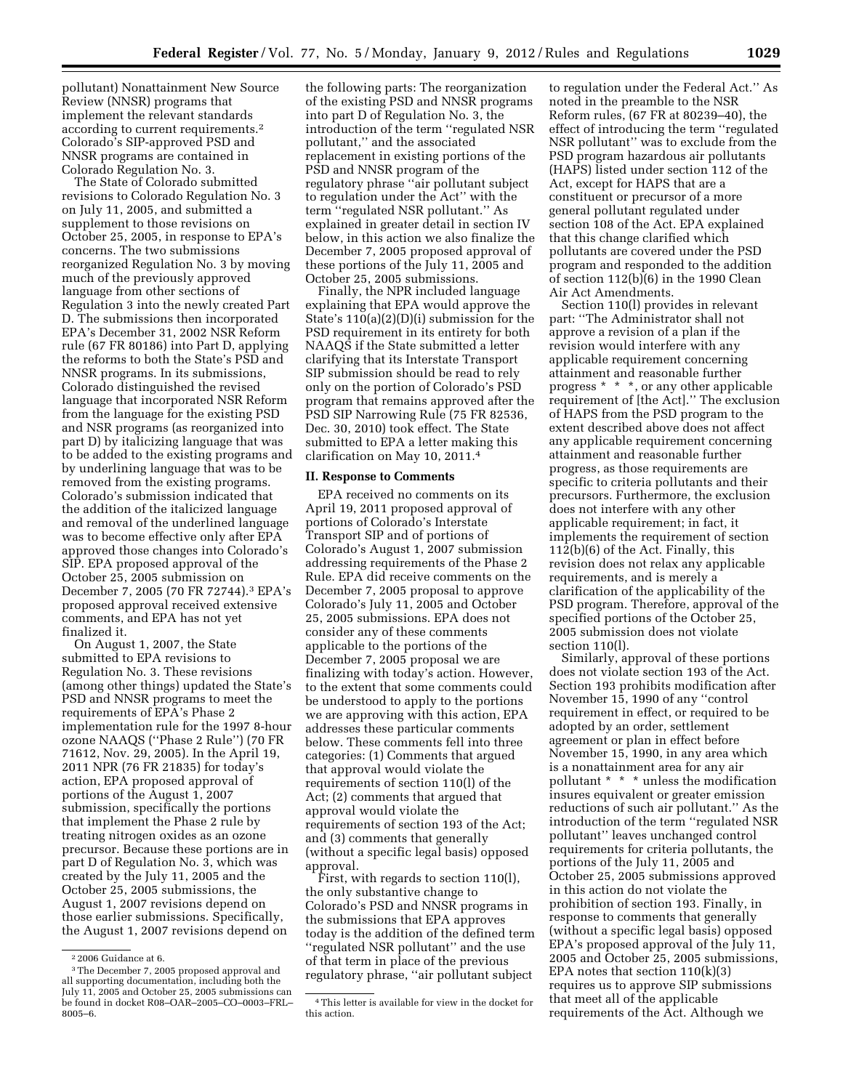pollutant) Nonattainment New Source Review (NNSR) programs that implement the relevant standards according to current requirements.2 Colorado's SIP-approved PSD and NNSR programs are contained in Colorado Regulation No. 3.

The State of Colorado submitted revisions to Colorado Regulation No. 3 on July 11, 2005, and submitted a supplement to those revisions on October 25, 2005, in response to EPA's concerns. The two submissions reorganized Regulation No. 3 by moving much of the previously approved language from other sections of Regulation 3 into the newly created Part D. The submissions then incorporated EPA's December 31, 2002 NSR Reform rule (67 FR 80186) into Part D, applying the reforms to both the State's PSD and NNSR programs. In its submissions, Colorado distinguished the revised language that incorporated NSR Reform from the language for the existing PSD and NSR programs (as reorganized into part D) by italicizing language that was to be added to the existing programs and by underlining language that was to be removed from the existing programs. Colorado's submission indicated that the addition of the italicized language and removal of the underlined language was to become effective only after EPA approved those changes into Colorado's SIP. EPA proposed approval of the October 25, 2005 submission on December 7, 2005 (70 FR 72744).3 EPA's proposed approval received extensive comments, and EPA has not yet finalized it.

On August 1, 2007, the State submitted to EPA revisions to Regulation No. 3. These revisions (among other things) updated the State's PSD and NNSR programs to meet the requirements of EPA's Phase 2 implementation rule for the 1997 8-hour ozone NAAQS (''Phase 2 Rule'') (70 FR 71612, Nov. 29, 2005). In the April 19, 2011 NPR (76 FR 21835) for today's action, EPA proposed approval of portions of the August 1, 2007 submission, specifically the portions that implement the Phase 2 rule by treating nitrogen oxides as an ozone precursor. Because these portions are in part D of Regulation No. 3, which was created by the July 11, 2005 and the October 25, 2005 submissions, the August 1, 2007 revisions depend on those earlier submissions. Specifically, the August 1, 2007 revisions depend on

the following parts: The reorganization of the existing PSD and NNSR programs into part D of Regulation No. 3, the introduction of the term ''regulated NSR pollutant,'' and the associated replacement in existing portions of the PSD and NNSR program of the regulatory phrase ''air pollutant subject to regulation under the Act'' with the term ''regulated NSR pollutant.'' As explained in greater detail in section IV below, in this action we also finalize the December 7, 2005 proposed approval of these portions of the July 11, 2005 and October 25, 2005 submissions.

Finally, the NPR included language explaining that EPA would approve the State's 110(a)(2)(D)(i) submission for the PSD requirement in its entirety for both NAAQS if the State submitted a letter clarifying that its Interstate Transport SIP submission should be read to rely only on the portion of Colorado's PSD program that remains approved after the PSD SIP Narrowing Rule (75 FR 82536, Dec. 30, 2010) took effect. The State submitted to EPA a letter making this clarification on May 10, 2011.4

### **II. Response to Comments**

EPA received no comments on its April 19, 2011 proposed approval of portions of Colorado's Interstate Transport SIP and of portions of Colorado's August 1, 2007 submission addressing requirements of the Phase 2 Rule. EPA did receive comments on the December 7, 2005 proposal to approve Colorado's July 11, 2005 and October 25, 2005 submissions. EPA does not consider any of these comments applicable to the portions of the December 7, 2005 proposal we are finalizing with today's action. However, to the extent that some comments could be understood to apply to the portions we are approving with this action, EPA addresses these particular comments below. These comments fell into three categories: (1) Comments that argued that approval would violate the requirements of section 110(l) of the Act; (2) comments that argued that approval would violate the requirements of section 193 of the Act; and (3) comments that generally (without a specific legal basis) opposed approval.

First, with regards to section 110(l), the only substantive change to Colorado's PSD and NNSR programs in the submissions that EPA approves today is the addition of the defined term ''regulated NSR pollutant'' and the use of that term in place of the previous regulatory phrase, ''air pollutant subject

to regulation under the Federal Act.'' As noted in the preamble to the NSR Reform rules, (67 FR at 80239–40), the effect of introducing the term ''regulated NSR pollutant'' was to exclude from the PSD program hazardous air pollutants (HAPS) listed under section 112 of the Act, except for HAPS that are a constituent or precursor of a more general pollutant regulated under section 108 of the Act. EPA explained that this change clarified which pollutants are covered under the PSD program and responded to the addition of section 112(b)(6) in the 1990 Clean Air Act Amendments.

Section 110(l) provides in relevant part: ''The Administrator shall not approve a revision of a plan if the revision would interfere with any applicable requirement concerning attainment and reasonable further progress \* \* \*, or any other applicable requirement of [the Act].'' The exclusion of HAPS from the PSD program to the extent described above does not affect any applicable requirement concerning attainment and reasonable further progress, as those requirements are specific to criteria pollutants and their precursors. Furthermore, the exclusion does not interfere with any other applicable requirement; in fact, it implements the requirement of section 112(b)(6) of the Act. Finally, this revision does not relax any applicable requirements, and is merely a clarification of the applicability of the PSD program. Therefore, approval of the specified portions of the October 25, 2005 submission does not violate section 110(l).

Similarly, approval of these portions does not violate section 193 of the Act. Section 193 prohibits modification after November 15, 1990 of any ''control requirement in effect, or required to be adopted by an order, settlement agreement or plan in effect before November 15, 1990, in any area which is a nonattainment area for any air pollutant \* \* \* unless the modification insures equivalent or greater emission reductions of such air pollutant.'' As the introduction of the term ''regulated NSR pollutant'' leaves unchanged control requirements for criteria pollutants, the portions of the July 11, 2005 and October 25, 2005 submissions approved in this action do not violate the prohibition of section 193. Finally, in response to comments that generally (without a specific legal basis) opposed EPA's proposed approval of the July 11, 2005 and October 25, 2005 submissions, EPA notes that section  $110(k)(3)$ requires us to approve SIP submissions that meet all of the applicable requirements of the Act. Although we

<sup>2</sup> 2006 Guidance at 6.

<sup>3</sup>The December 7, 2005 proposed approval and all supporting documentation, including both the July 11, 2005 and October 25, 2005 submissions can be found in docket R08–OAR–2005–CO–0003–FRL– 8005–6.

<sup>4</sup>This letter is available for view in the docket for this action.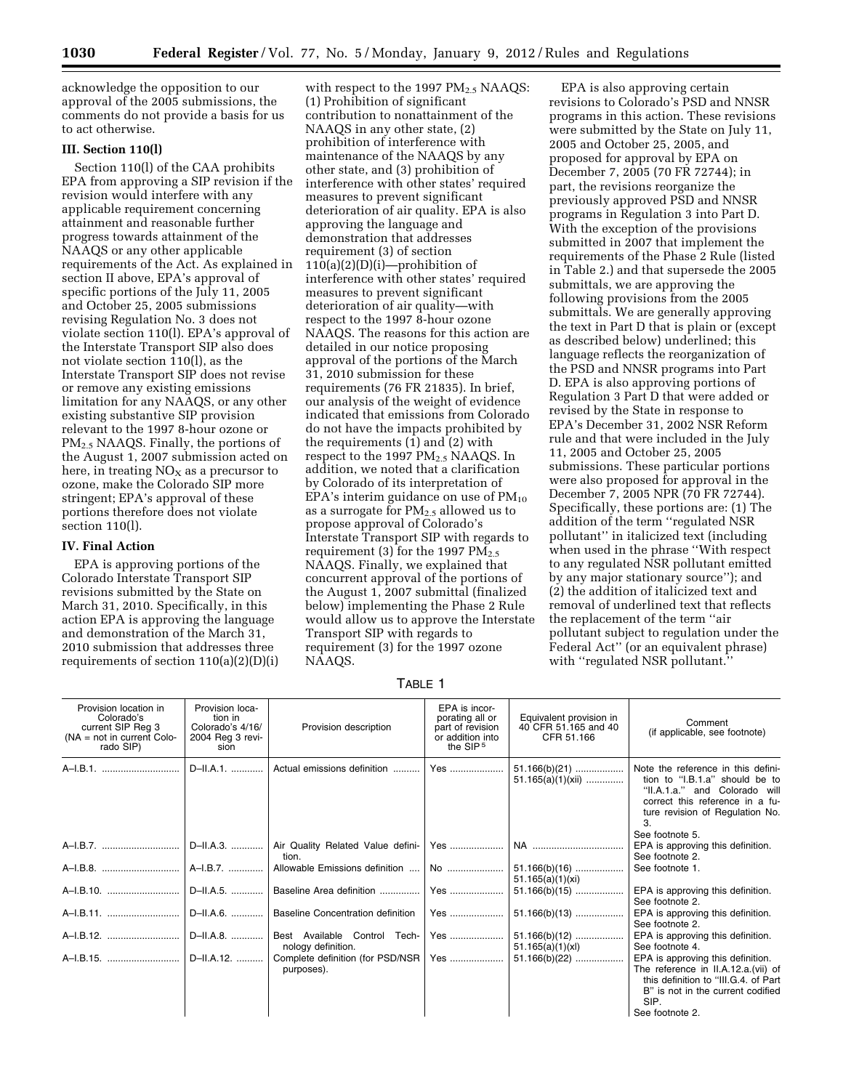acknowledge the opposition to our approval of the 2005 submissions, the comments do not provide a basis for us to act otherwise.

### **III. Section 110(l)**

Section 110(l) of the CAA prohibits EPA from approving a SIP revision if the revision would interfere with any applicable requirement concerning attainment and reasonable further progress towards attainment of the NAAQS or any other applicable requirements of the Act. As explained in section II above, EPA's approval of specific portions of the July 11, 2005 and October 25, 2005 submissions revising Regulation No. 3 does not violate section 110(l). EPA's approval of the Interstate Transport SIP also does not violate section  $110(l)$ , as the Interstate Transport SIP does not revise or remove any existing emissions limitation for any NAAQS, or any other existing substantive SIP provision relevant to the 1997 8-hour ozone or  $PM<sub>2.5</sub> NAAOS. Finally, the portions of$ the August 1, 2007 submission acted on here, in treating  $NO<sub>x</sub>$  as a precursor to ozone, make the Colorado SIP more stringent; EPA's approval of these portions therefore does not violate section 110(l).

# **IV. Final Action**

EPA is approving portions of the Colorado Interstate Transport SIP revisions submitted by the State on March 31, 2010. Specifically, in this action EPA is approving the language and demonstration of the March 31, 2010 submission that addresses three requirements of section 110(a)(2)(D)(i)

with respect to the 1997  $PM_{2.5}$  NAAQS: (1) Prohibition of significant contribution to nonattainment of the NAAQS in any other state, (2) prohibition of interference with maintenance of the NAAQS by any other state, and (3) prohibition of interference with other states' required measures to prevent significant deterioration of air quality. EPA is also approving the language and demonstration that addresses requirement (3) of section  $110(a)(2)(D)(i)$ —prohibition of interference with other states' required measures to prevent significant deterioration of air quality—with respect to the 1997 8-hour ozone NAAQS. The reasons for this action are detailed in our notice proposing approval of the portions of the March 31, 2010 submission for these requirements (76 FR 21835). In brief, our analysis of the weight of evidence indicated that emissions from Colorado do not have the impacts prohibited by the requirements (1) and (2) with respect to the 1997  $PM_{2.5}$  NAAQS. In addition, we noted that a clarification by Colorado of its interpretation of EPA's interim guidance on use of  $PM_{10}$ as a surrogate for  $PM_{2,5}$  allowed us to propose approval of Colorado's Interstate Transport SIP with regards to requirement (3) for the 1997  $PM_{2.5}$ NAAQS. Finally, we explained that concurrent approval of the portions of the August 1, 2007 submittal (finalized below) implementing the Phase 2 Rule would allow us to approve the Interstate Transport SIP with regards to requirement (3) for the 1997 ozone NAAQS.

EPA is also approving certain revisions to Colorado's PSD and NNSR programs in this action. These revisions were submitted by the State on July 11, 2005 and October 25, 2005, and proposed for approval by EPA on December 7, 2005 (70 FR 72744); in part, the revisions reorganize the previously approved PSD and NNSR programs in Regulation 3 into Part D. With the exception of the provisions submitted in 2007 that implement the requirements of the Phase 2 Rule (listed in Table 2.) and that supersede the 2005 submittals, we are approving the following provisions from the 2005 submittals. We are generally approving the text in Part D that is plain or (except as described below) underlined; this language reflects the reorganization of the PSD and NNSR programs into Part D. EPA is also approving portions of Regulation 3 Part D that were added or revised by the State in response to EPA's December 31, 2002 NSR Reform rule and that were included in the July 11, 2005 and October 25, 2005 submissions. These particular portions were also proposed for approval in the December 7, 2005 NPR (70 FR 72744). Specifically, these portions are: (1) The addition of the term ''regulated NSR pollutant'' in italicized text (including when used in the phrase ''With respect to any regulated NSR pollutant emitted by any major stationary source''); and (2) the addition of italicized text and removal of underlined text that reflects the replacement of the term ''air pollutant subject to regulation under the Federal Act'' (or an equivalent phrase) with "regulated NSR pollutant."

TABLE 1

| Provision location in<br>Colorado's<br>current SIP Reg 3<br>$(NA = not in current Color -$<br>rado SIP) | Provision loca-<br>tion in<br>Colorado's 4/16/<br>2004 Reg 3 revi-<br>sion | Provision description                              | EPA is incor-<br>porating all or<br>part of revision<br>or addition into<br>the SIP <sup>5</sup> | Equivalent provision in<br>40 CFR 51 165 and 40<br>CFR 51.166 | Comment<br>(if applicable, see footnote)                                                                                                                                                            |
|---------------------------------------------------------------------------------------------------------|----------------------------------------------------------------------------|----------------------------------------------------|--------------------------------------------------------------------------------------------------|---------------------------------------------------------------|-----------------------------------------------------------------------------------------------------------------------------------------------------------------------------------------------------|
| A-I.B.1.                                                                                                | D-II.A.1.                                                                  | Actual emissions definition                        | Yes                                                                                              | $51.165(a)(1)(xii)$                                           | Note the reference in this defini-<br>tion to "I.B.1.a" should be to<br>"II.A.1.a." and Colorado will<br>correct this reference in a fu-<br>ture revision of Regulation No.<br>3<br>See footnote 5. |
| A-I.B.7.    D-II.A.3.                                                                                   |                                                                            | Air Quality Related Value defini-<br>tion.         | Yes                                                                                              |                                                               | EPA is approving this definition.<br>See footnote 2.                                                                                                                                                |
|                                                                                                         |                                                                            | Allowable Emissions definition    No               |                                                                                                  | $51.166(b)(16)$<br>51.165(a)(1)(xi)                           | See footnote 1.                                                                                                                                                                                     |
|                                                                                                         |                                                                            | Baseline Area definition                           | Yes                                                                                              | $51.166(b)(15)$                                               | EPA is approving this definition.<br>See footnote 2.                                                                                                                                                |
|                                                                                                         | D-II.A.6.                                                                  | <b>Baseline Concentration definition</b>           | Yes                                                                                              | $51.166(b)(13)$                                               | EPA is approving this definition.<br>See footnote 2.                                                                                                                                                |
| A-I.B.12.                                                                                               | D-II.A.8.                                                                  | Best Available Control Tech-<br>nology definition. | Yes                                                                                              | $51.166(b)(12)$<br>51.165(a)(1)(xl)                           | EPA is approving this definition.<br>See footnote 4.                                                                                                                                                |
| A-I.B.15.    D-II.A.12.                                                                                 |                                                                            | Complete definition (for PSD/NSR  <br>purposes).   | Yes                                                                                              | $51.166(b)(22)$                                               | EPA is approving this definition.<br>The reference in II.A.12.a.(vii) of<br>this definition to "III.G.4. of Part<br>B" is not in the current codified<br>SIP.<br>See footnote 2.                    |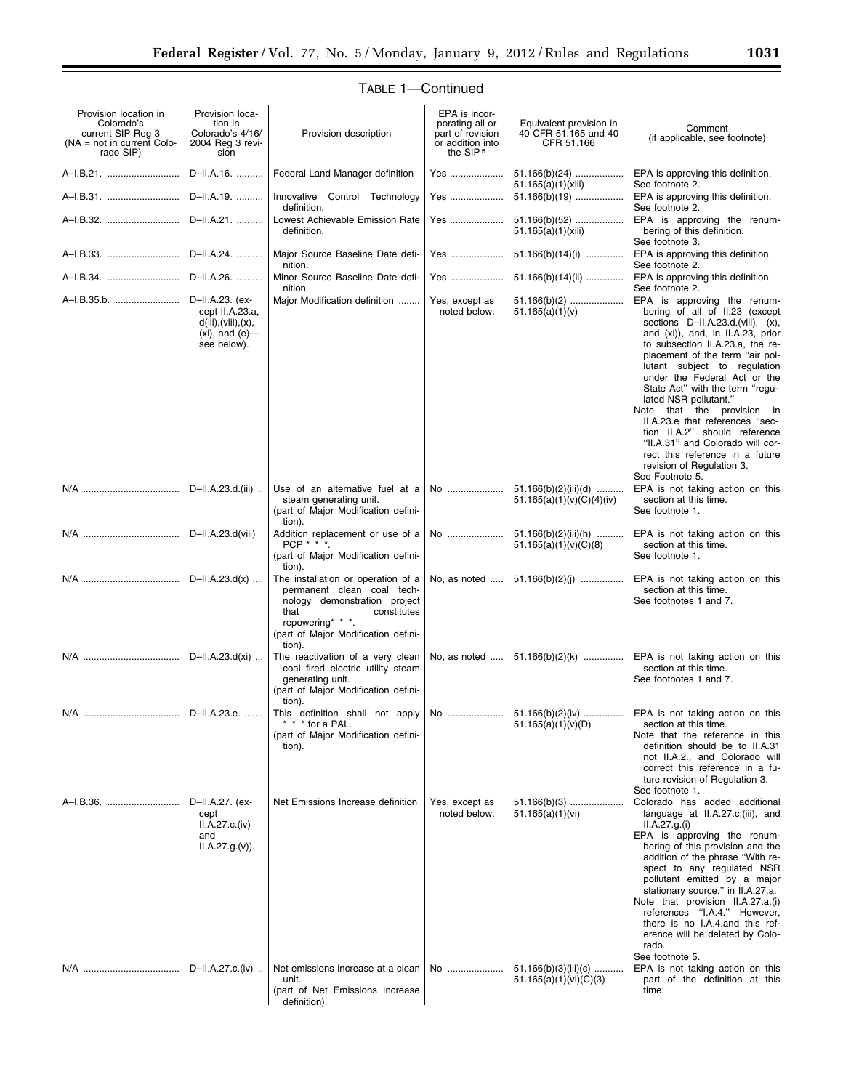| Provision location in<br>Colorado's<br>current SIP Reg 3<br>(NA = not in current Colo-<br>rado SIP) | Provision loca-<br>tion in<br>Colorado's 4/16/<br>2004 Reg 3 revi-<br>sion                        | Provision description                                                                                                                                                                        | EPA is incor-<br>porating all or<br>part of revision<br>or addition into<br>the SIP <sup>5</sup> | Equivalent provision in<br>40 CFR 51.165 and 40<br>CFR 51.166 | Comment<br>(if applicable, see footnote)                                                                                                                                                                                                                                                                                                                                                                                                                                                                                                                            |
|-----------------------------------------------------------------------------------------------------|---------------------------------------------------------------------------------------------------|----------------------------------------------------------------------------------------------------------------------------------------------------------------------------------------------|--------------------------------------------------------------------------------------------------|---------------------------------------------------------------|---------------------------------------------------------------------------------------------------------------------------------------------------------------------------------------------------------------------------------------------------------------------------------------------------------------------------------------------------------------------------------------------------------------------------------------------------------------------------------------------------------------------------------------------------------------------|
| A-I.B.21.                                                                                           | D-II.A.16.                                                                                        | Federal Land Manager definition                                                                                                                                                              | Yes                                                                                              | $51.166(b)(24)$<br>51.165(a)(1)(xiii)                         | EPA is approving this definition.<br>See footnote 2.                                                                                                                                                                                                                                                                                                                                                                                                                                                                                                                |
| A-I.B.31.                                                                                           | D-II.A.19.                                                                                        | Innovative Control Technology<br>definition.                                                                                                                                                 | Yes                                                                                              | $51.166(b)(19)$                                               | EPA is approving this definition.<br>See footnote 2.                                                                                                                                                                                                                                                                                                                                                                                                                                                                                                                |
| A-I.B.32.                                                                                           | D-II.A.21.                                                                                        | Lowest Achievable Emission Rate<br>definition.                                                                                                                                               | Yes                                                                                              | $51.166(b)(52)$<br>51.165(a)(1)(xiii)                         | EPA is approving the renum-<br>bering of this definition.<br>See footnote 3.                                                                                                                                                                                                                                                                                                                                                                                                                                                                                        |
| A-I.B.33.                                                                                           | D-II.A.24.                                                                                        | Major Source Baseline Date defi-<br>nition.                                                                                                                                                  | Yes                                                                                              | $51.166(b)(14)(i)$                                            | EPA is approving this definition.<br>See footnote 2.                                                                                                                                                                                                                                                                                                                                                                                                                                                                                                                |
|                                                                                                     | D-II.A.26.                                                                                        | Minor Source Baseline Date defi-<br>nition.                                                                                                                                                  | Yes                                                                                              | 51.166(b)(14)(ii)                                             | EPA is approving this definition.<br>See footnote 2.                                                                                                                                                                                                                                                                                                                                                                                                                                                                                                                |
| A-I.B.35.b.                                                                                         | D-II.A.23. (ex-<br>cept II.A.23.a,<br>d(iii), (viii), (x),<br>$(xi)$ , and $(e)$ —<br>see below). | Major Modification definition                                                                                                                                                                | Yes, except as<br>noted below.                                                                   | $51.166(b)(2)$<br>51.165(a)(1)(v)                             | EPA is approving the renum-<br>bering of all of II.23 (except<br>sections D-II.A.23.d.(viii), (x),<br>and (xi)), and, in II.A.23, prior<br>to subsection II.A.23.a, the re-<br>placement of the term "air pol-<br>lutant subject to regulation<br>under the Federal Act or the<br>State Act" with the term "regu-<br>lated NSR pollutant."<br>Note that the provision in<br>II.A.23.e that references "sec-<br>tion II.A.2" should reference<br>"II.A.31" and Colorado will cor-<br>rect this reference in a future<br>revision of Regulation 3.<br>See Footnote 5. |
|                                                                                                     | D-II.A.23.d.(iii)                                                                                 | Use of an alternative fuel at a<br>steam generating unit.<br>(part of Major Modification defini-<br>tion).                                                                                   | No                                                                                               | $51.166(b)(2)(iii)(d)$<br>51.165(a)(1)(v)(C)(4)(iv)           | EPA is not taking action on this<br>section at this time.<br>See footnote 1.                                                                                                                                                                                                                                                                                                                                                                                                                                                                                        |
|                                                                                                     | D-II.A.23.d(viii)                                                                                 | Addition replacement or use of a<br>PCP * * *.<br>(part of Major Modification defini-<br>tion).                                                                                              | No                                                                                               | 51.166(b)(2)(iii)(h)<br>51.165(a)(1)(v)(C)(8)                 | EPA is not taking action on this<br>section at this time.<br>See footnote 1.                                                                                                                                                                                                                                                                                                                                                                                                                                                                                        |
|                                                                                                     | $D$ -II.A.23.d(x)                                                                                 | The installation or operation of a<br>permanent clean coal tech-<br>nology demonstration project<br>that<br>constitutes<br>repowering* * *.<br>(part of Major Modification defini-<br>tion). | No, as noted                                                                                     | $51.166(b)(2)(j)$                                             | EPA is not taking action on this<br>section at this time.<br>See footnotes 1 and 7.                                                                                                                                                                                                                                                                                                                                                                                                                                                                                 |
|                                                                                                     | D-II.A.23.d(xi)                                                                                   | The reactivation of a very clean<br>coal fired electric utility steam<br>generating unit.<br>(part of Major Modification defini-<br>tion).                                                   | No, as noted                                                                                     | $51.166(b)(2)(k)$                                             | EPA is not taking action on this<br>section at this time.<br>See footnotes 1 and 7.                                                                                                                                                                                                                                                                                                                                                                                                                                                                                 |
| N/A                                                                                                 | D-II.A.23.e                                                                                       | This definition shall not apply<br>* * * for a PAL.<br>(part of Major Modification defini-<br>tion).                                                                                         | No.                                                                                              | $51.166(b)(2)(iv)$<br>51.165(a)(1)(v)(D)                      | EPA is not taking action on this<br>section at this time.<br>Note that the reference in this<br>definition should be to II.A.31<br>not II.A.2., and Colorado will<br>correct this reference in a fu-<br>ture revision of Regulation 3.<br>See footnote 1.                                                                                                                                                                                                                                                                                                           |
| A-I.B.36.                                                                                           | D-II.A.27. (ex-<br>cept<br>II.A.27.c.(iv)<br>and<br>II.A.27.g.(v)).                               | Net Emissions Increase definition                                                                                                                                                            | Yes, except as<br>noted below.                                                                   | $51.166(b)(3)$<br>51.165(a)(1)(vi)                            | Colorado has added additional<br>language at II.A.27.c.(iii), and<br>II.A.27.g.(i)<br>EPA is approving the renum-<br>bering of this provision and the<br>addition of the phrase "With re-<br>spect to any regulated NSR<br>pollutant emitted by a major<br>stationary source," in II.A.27.a.<br>Note that provision II.A.27.a.(i)<br>references "I.A.4." However,<br>there is no I.A.4.and this ref-<br>erence will be deleted by Colo-<br>rado.<br>See footnote 5.                                                                                                 |
|                                                                                                     | D-II.A.27.c.(iv)                                                                                  | Net emissions increase at a clean<br>unit.<br>(part of Net Emissions Increase<br>definition).                                                                                                | No                                                                                               | $51.166(b)(3)(iii)(c)$<br>51.165(a)(1)(vi)(C)(3)              | EPA is not taking action on this<br>part of the definition at this<br>time.                                                                                                                                                                                                                                                                                                                                                                                                                                                                                         |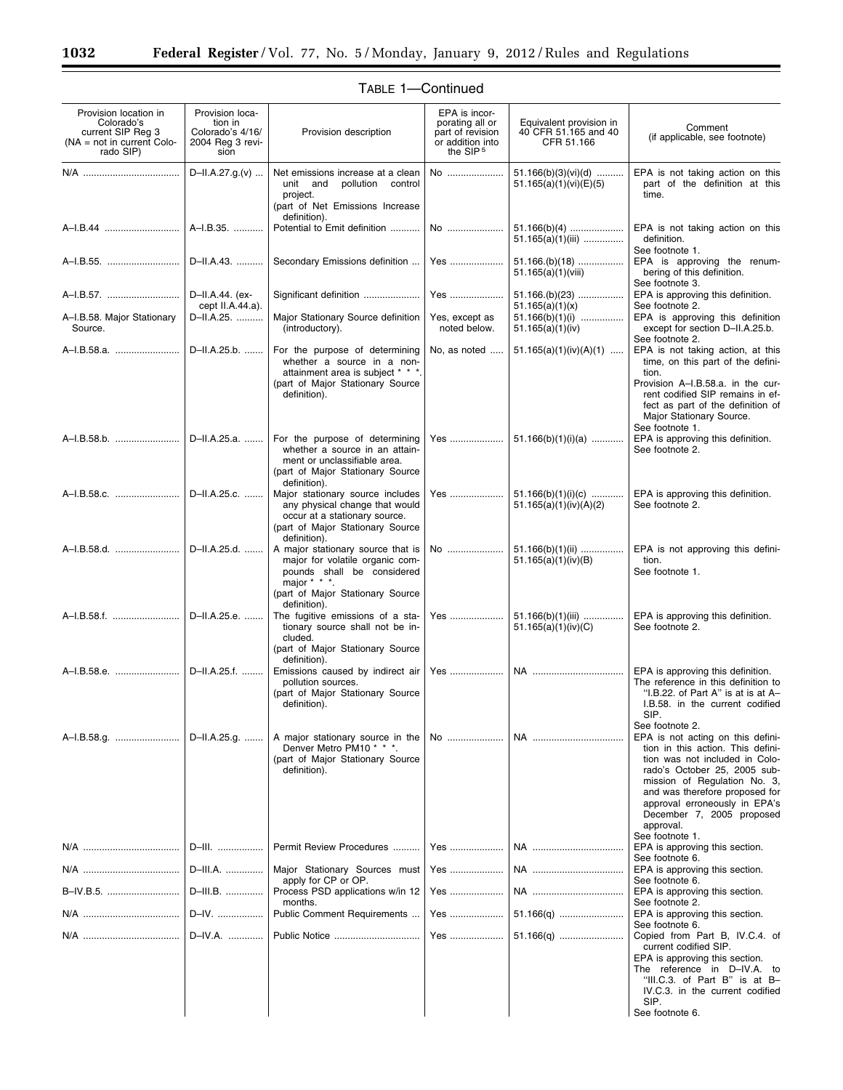| Provision location in<br>Colorado's<br>current SIP Reg 3<br>$NA = not in current Colo-$<br>rado SIP) | Provision loca-<br>tion in<br>Colorado's 4/16/<br>2004 Reg 3 revi-<br>sion | Provision description                                                                                                                                                         | EPA is incor-<br>porating all or<br>part of revision<br>or addition into<br>the SIP <sup>5</sup> | Equivalent provision in<br>40 CFR 51.165 and 40<br>CFR 51.166 | Comment<br>(if applicable, see footnote)                                                                                                                                                                                                                                                                 |
|------------------------------------------------------------------------------------------------------|----------------------------------------------------------------------------|-------------------------------------------------------------------------------------------------------------------------------------------------------------------------------|--------------------------------------------------------------------------------------------------|---------------------------------------------------------------|----------------------------------------------------------------------------------------------------------------------------------------------------------------------------------------------------------------------------------------------------------------------------------------------------------|
|                                                                                                      | D-II.A.27.g.(v)                                                            | Net emissions increase at a clean<br>pollution<br>unit and<br>control<br>project.<br>(part of Net Emissions Increase<br>definition).                                          | No                                                                                               | 51.166(b)(3)(vi)(d)<br>51.165(a)(1)(vi)(E)(5)                 | EPA is not taking action on this<br>part of the definition at this<br>time.                                                                                                                                                                                                                              |
|                                                                                                      | A-I.B.35.                                                                  | Potential to Emit definition                                                                                                                                                  | No                                                                                               | $51.166(b)(4)$<br>$51.165(a)(1)(iii)$                         | EPA is not taking action on this<br>definition.<br>See footnote 1.                                                                                                                                                                                                                                       |
| A-I.B.55.                                                                                            | D-II.A.43.                                                                 | Secondary Emissions definition                                                                                                                                                | Yes                                                                                              | $51.166(k)(18)$<br>51.165(a)(1)(viii)                         | EPA is approving the renum-<br>bering of this definition.<br>See footnote 3.                                                                                                                                                                                                                             |
| A-I.B.57.                                                                                            | D-II.A.44. (ex-<br>cept II.A.44.a).                                        | Significant definition                                                                                                                                                        | Yes                                                                                              | $51.166.(b)(23)$<br>51.165(a)(1)(x)                           | EPA is approving this definition.<br>See footnote 2.                                                                                                                                                                                                                                                     |
| A-I.B.58. Major Stationary<br>Source.                                                                | D-II.A.25.                                                                 | Major Stationary Source definition<br>(introductory).                                                                                                                         | Yes, except as<br>noted below.                                                                   | $51.166(b)(1)(i)$<br>51.165(a)(1)(iv)                         | EPA is approving this definition<br>except for section D-II.A.25.b.<br>See footnote 2.                                                                                                                                                                                                                   |
|                                                                                                      | D-II.A.25.b.                                                               | For the purpose of determining<br>whether a source in a non-<br>attainment area is subject * * *.<br>(part of Major Stationary Source<br>definition).                         | No, as noted                                                                                     | $51.165(a)(1)(iv)(A)(1)$                                      | EPA is not taking action, at this<br>time, on this part of the defini-<br>tion.<br>Provision A-I.B.58.a. in the cur-<br>rent codified SIP remains in ef-<br>fect as part of the definition of<br>Major Stationary Source.<br>See footnote 1.                                                             |
| A-I.B.58.b.                                                                                          | D-II.A.25.a.                                                               | For the purpose of determining<br>whether a source in an attain-<br>ment or unclassifiable area.<br>(part of Major Stationary Source<br>definition).                          | Yes                                                                                              | $51.166(b)(1)(i)(a)$                                          | EPA is approving this definition.<br>See footnote 2.                                                                                                                                                                                                                                                     |
| A-I.B.58.c.                                                                                          | D-II.A.25.c.                                                               | Major stationary source includes<br>any physical change that would<br>occur at a stationary source.<br>(part of Major Stationary Source<br>definition).                       | Yes                                                                                              | $51.166(b)(1)(i)(c)$<br>51.165(a)(1)(iv)(A)(2)                | EPA is approving this definition.<br>See footnote 2.                                                                                                                                                                                                                                                     |
|                                                                                                      | D-II.A.25.d.                                                               | A major stationary source that is<br>major for volatile organic com-<br>pounds shall be considered<br>major * * * $\cdot$<br>(part of Major Stationary Source<br>definition). | No                                                                                               | $51.166(b)(1)(ii)$<br>51.165(a)(1)(iv)(B)                     | EPA is not approving this defini-<br>tion.<br>See footnote 1.                                                                                                                                                                                                                                            |
| A-I.B.58.f.    D-II.A.25.e.                                                                          |                                                                            | The fugitive emissions of a sta-<br>tionary source shall not be in-<br>cluded.<br>(part of Major Stationary Source<br>definition).                                            | Yes                                                                                              | 51.166(b)(1)(iii)<br>51.165(a)(1)(iv)(C)                      | EPA is approving this definition.<br>See footnote 2.                                                                                                                                                                                                                                                     |
| A-I.B.58.e.                                                                                          | D-II.A.25.f.                                                               | Emissions caused by indirect air<br>pollution sources.<br>(part of Major Stationary Source<br>definition).                                                                    | Yes                                                                                              | NA                                                            | EPA is approving this definition.<br>The reference in this definition to<br>"I.B.22. of Part A" is at is at A-<br>I.B.58. in the current codified<br>SIP.<br>See footnote 2.                                                                                                                             |
| A-I.B.58.g.                                                                                          | D-II.A.25.g.                                                               | A major stationary source in the<br>Denver Metro PM10 * * *.<br>(part of Major Stationary Source<br>definition).                                                              | No                                                                                               | NA                                                            | EPA is not acting on this defini-<br>tion in this action. This defini-<br>tion was not included in Colo-<br>rado's October 25, 2005 sub-<br>mission of Regulation No. 3,<br>and was therefore proposed for<br>approval erroneously in EPA's<br>December 7, 2005 proposed<br>approval.<br>See footnote 1. |
|                                                                                                      | D-III.                                                                     | Permit Review Procedures                                                                                                                                                      | Yes                                                                                              |                                                               | EPA is approving this section.                                                                                                                                                                                                                                                                           |
|                                                                                                      | D-III.A.                                                                   | Major Stationary Sources must                                                                                                                                                 | Yes                                                                                              | NA                                                            | See footnote 6.<br>EPA is approving this section.                                                                                                                                                                                                                                                        |
| B-IV.B.5.                                                                                            | D-III.B.                                                                   | apply for CP or OP.<br>Process PSD applications w/in 12                                                                                                                       | Yes                                                                                              | NA                                                            | See footnote 6.<br>EPA is approving this section.                                                                                                                                                                                                                                                        |
|                                                                                                      | D-IV.                                                                      | months.<br>Public Comment Requirements                                                                                                                                        | Yes                                                                                              |                                                               | See footnote 2.<br>EPA is approving this section.                                                                                                                                                                                                                                                        |
|                                                                                                      | D-IV.A.                                                                    | Public Notice                                                                                                                                                                 | Yes                                                                                              |                                                               | See footnote 6.<br>Copied from Part B, IV.C.4. of                                                                                                                                                                                                                                                        |
|                                                                                                      |                                                                            |                                                                                                                                                                               |                                                                                                  |                                                               | current codified SIP.<br>EPA is approving this section.<br>The reference in D-IV.A. to<br>"III.C.3. of Part B" is at B-<br>IV.C.3. in the current codified<br>SIP.<br>See footnote 6.                                                                                                                    |

۰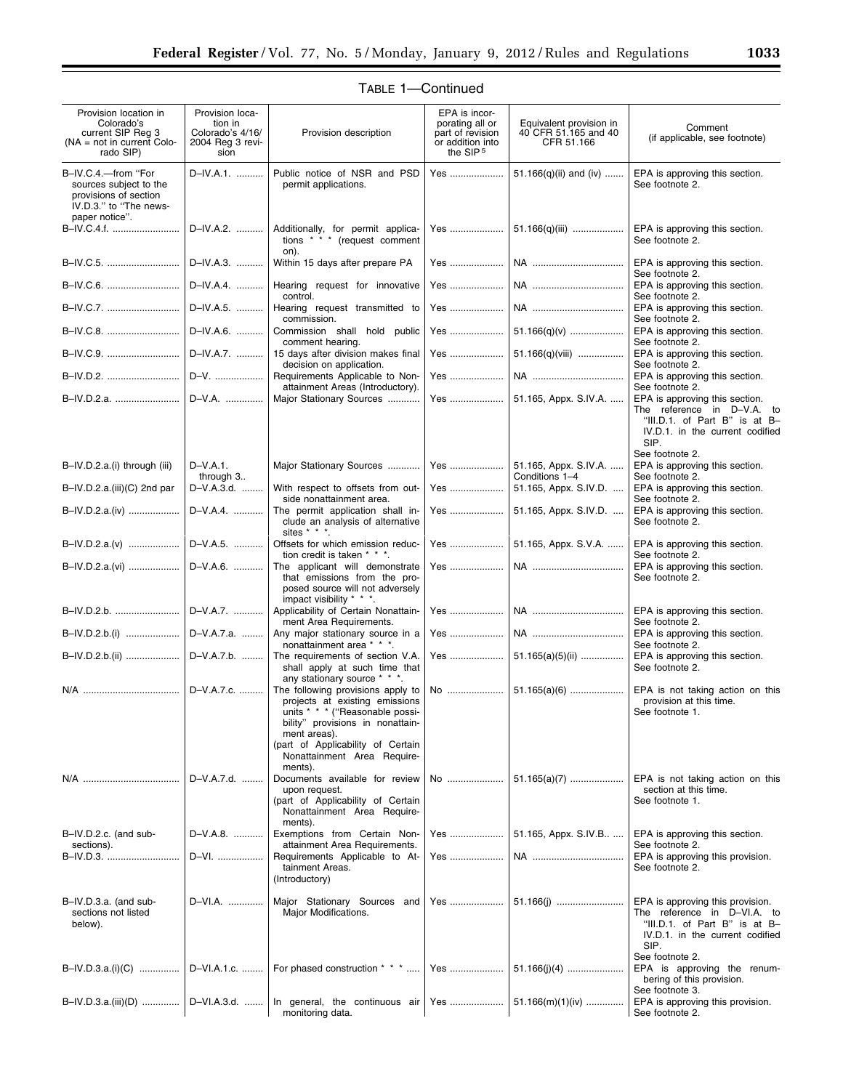| Provision location in<br>Colorado's<br>current SIP Reg 3<br>$NA = not in current Colo-$<br>rado SIP)               | Provision loca-<br>tion in<br>Colorado's 4/16/<br>2004 Reg 3 revi-<br>sion | Provision description                                                                                                                                                                                                          | EPA is incor-<br>porating all or<br>part of revision<br>or addition into<br>the SIP <sup>5</sup> | Equivalent provision in<br>40 CFR 51.165 and 40<br>CFR 51.166 | Comment<br>(if applicable, see footnote)                                                                                                    |
|--------------------------------------------------------------------------------------------------------------------|----------------------------------------------------------------------------|--------------------------------------------------------------------------------------------------------------------------------------------------------------------------------------------------------------------------------|--------------------------------------------------------------------------------------------------|---------------------------------------------------------------|---------------------------------------------------------------------------------------------------------------------------------------------|
| B-IV.C.4.-from "For<br>sources subject to the<br>provisions of section<br>IV.D.3." to "The news-<br>paper notice". | D-IV.A.1.                                                                  | Public notice of NSR and PSD<br>permit applications.                                                                                                                                                                           | Yes                                                                                              | 51.166(q)(ii) and (iv)                                        | EPA is approving this section.<br>See footnote 2.                                                                                           |
| B-IV.C.4.f.                                                                                                        | D-IV.A.2.                                                                  | Additionally, for permit applica-<br>tions * * * (request comment<br>on).                                                                                                                                                      | Yes                                                                                              | 51.166(q)(iii)                                                | EPA is approving this section.<br>See footnote 2.                                                                                           |
| B-IV.C.5.                                                                                                          | D-IV.A.3.                                                                  | Within 15 days after prepare PA                                                                                                                                                                                                | Yes                                                                                              | NA                                                            | EPA is approving this section.<br>See footnote 2.                                                                                           |
| B-IV.C.6.                                                                                                          | D-IV.A.4.                                                                  | Hearing request for innovative<br>control.                                                                                                                                                                                     | Yes                                                                                              | NA                                                            | EPA is approving this section.<br>See footnote 2.                                                                                           |
| B-IV.C.7.                                                                                                          | D-IV.A.5.                                                                  | Hearing request transmitted to<br>commission.                                                                                                                                                                                  | Yes                                                                                              |                                                               | EPA is approving this section.<br>See footnote 2.                                                                                           |
| B-IV.C.8.                                                                                                          | D-IV.A.6.                                                                  | Commission shall hold public<br>comment hearing.                                                                                                                                                                               | Yes                                                                                              | $51.166(q)(v)$                                                | EPA is approving this section.<br>See footnote 2.                                                                                           |
| B-IV.C.9.                                                                                                          | D-IV.A.7.                                                                  | 15 days after division makes final<br>decision on application.                                                                                                                                                                 | Yes                                                                                              | 51.166(q)(viii)                                               | EPA is approving this section.<br>See footnote 2.                                                                                           |
| B-IV.D.2.                                                                                                          | D-V.                                                                       | Requirements Applicable to Non-<br>attainment Areas (Introductory).                                                                                                                                                            | Yes                                                                                              |                                                               | EPA is approving this section.<br>See footnote 2.                                                                                           |
| B-IV.D.2.a.    D-V.A.                                                                                              |                                                                            | Major Stationary Sources                                                                                                                                                                                                       | Yes                                                                                              | 51.165, Appx. S.IV.A.                                         | EPA is approving this section.<br>The reference in D-V.A. to<br>"III.D.1. of Part B" is at B-<br>IV.D.1. in the current codified<br>SIP.    |
| B-IV.D.2.a.(i) through (iii)                                                                                       | $D-V.A.1$ .                                                                | Major Stationary Sources                                                                                                                                                                                                       | Yes                                                                                              | 51.165, Appx. S.IV.A.                                         | See footnote 2.<br>EPA is approving this section.                                                                                           |
| B-IV.D.2.a.(iii)(C) 2nd par                                                                                        | through 3<br>D-V.A.3.d.                                                    | With respect to offsets from out-                                                                                                                                                                                              | Yes                                                                                              | Conditions 1-4<br>51.165, Appx. S.IV.D.                       | See footnote 2.<br>EPA is approving this section.                                                                                           |
| B–IV.D.2.a.(iv)                                                                                                    | D-V.A.4.                                                                   | side nonattainment area.<br>The permit application shall in-<br>clude an analysis of alternative<br>sites $* * * *$                                                                                                            | Yes                                                                                              | 51.165, Appx. S.IV.D.                                         | See footnote 2.<br>EPA is approving this section.<br>See footnote 2.                                                                        |
| B-IV.D.2.a.(v)                                                                                                     | D-V.A.5.                                                                   | Offsets for which emission reduc-<br>tion credit is taken * * *.                                                                                                                                                               | Yes                                                                                              | 51.165, Appx. S.V.A.                                          | EPA is approving this section.<br>See footnote 2.                                                                                           |
| B-IV.D.2.a.(vi)                                                                                                    | D-V.A.6.                                                                   | The applicant will demonstrate<br>that emissions from the pro-<br>posed source will not adversely<br>impact visibility * * *.                                                                                                  | Yes                                                                                              | NA                                                            | EPA is approving this section.<br>See footnote 2.                                                                                           |
| B-IV.D.2.b.                                                                                                        | D-V.A.7.                                                                   | Applicability of Certain Nonattain-<br>ment Area Requirements.                                                                                                                                                                 | Yes                                                                                              | NA                                                            | EPA is approving this section.<br>See footnote 2.                                                                                           |
|                                                                                                                    |                                                                            | Any major stationary source in a<br>nonattainment area * * *.                                                                                                                                                                  | Yes                                                                                              | NA                                                            | EPA is approving this section.<br>See footnote 2.                                                                                           |
| B-IV.D.2.b.(ii)    D-V.A.7.b.                                                                                      |                                                                            | The requirements of section V.A.<br>shall apply at such time that<br>any stationary source * * *.                                                                                                                              | Yes                                                                                              | $51.165(a)(5)(ii)$                                            | EPA is approving this section.<br>See footnote 2.                                                                                           |
|                                                                                                                    | D-V.A.7.c.                                                                 | The following provisions apply to<br>projects at existing emissions<br>units * * * ("Reasonable possi-<br>bility" provisions in nonattain-<br>ment areas).<br>(part of Applicability of Certain<br>Nonattainment Area Require- |                                                                                                  |                                                               | EPA is not taking action on this<br>provision at this time.<br>See footnote 1.                                                              |
| N/A ………………………………                                                                                                   | D-V.A.7.d.                                                                 | ments).<br>Documents available for review<br>upon request.                                                                                                                                                                     | No                                                                                               | $51.165(a)(7)$                                                | EPA is not taking action on this<br>section at this time.                                                                                   |
|                                                                                                                    |                                                                            | (part of Applicability of Certain<br>Nonattainment Area Require-<br>ments).                                                                                                                                                    |                                                                                                  |                                                               | See footnote 1.                                                                                                                             |
| B-IV.D.2.c. (and sub-<br>sections).                                                                                | D-V.A.8.                                                                   | Exemptions from Certain Non-<br>attainment Area Requirements.                                                                                                                                                                  | Yes                                                                                              | 51.165, Appx. S.IV.B                                          | EPA is approving this section.<br>See footnote 2.                                                                                           |
| B–IV.D.3. ………………………                                                                                                | D-VI.                                                                      | Requirements Applicable to At-<br>tainment Areas.<br>(Introductory)                                                                                                                                                            | Yes                                                                                              | NA                                                            | EPA is approving this provision.<br>See footnote 2.                                                                                         |
| B-IV.D.3.a. (and sub-<br>sections not listed<br>below).                                                            | D-VI.A.                                                                    | Major Stationary Sources and<br>Major Modifications.                                                                                                                                                                           | Yes                                                                                              |                                                               | EPA is approving this provision.<br>The reference in D-VI.A. to<br>"III.D.1. of Part B" is at B-<br>IV.D.1. in the current codified<br>SIP. |
| B-IV.D.3.a.(i)(C)                                                                                                  | D-VI.A.1.c.                                                                | For phased construction * * *                                                                                                                                                                                                  | Yes                                                                                              | $51.166(j)(4)$                                                | See footnote 2.<br>EPA is approving the renum-<br>bering of this provision.                                                                 |
| B-IV.D.3.a.(iii)(D)    D-VI.A.3.d.                                                                                 |                                                                            | In general, the continuous air<br>monitoring data.                                                                                                                                                                             |                                                                                                  |                                                               | See footnote 3.<br>EPA is approving this provision.<br>See footnote 2.                                                                      |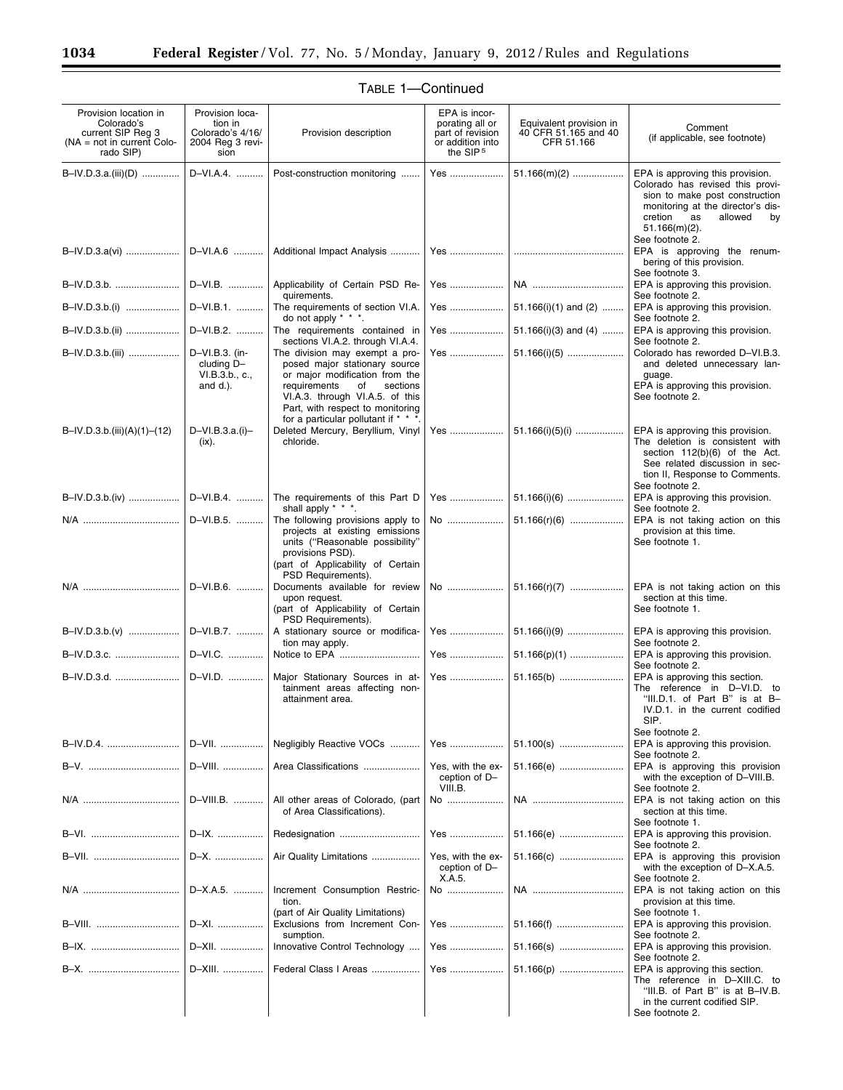۰

| Provision location in<br>Colorado's<br>current SIP Reg 3<br>$(NA = not in current Color -$<br>rado SIP) | Provision loca-<br>tion in<br>Colorado's 4/16/<br>2004 Reg 3 revi-<br>sion | Provision description                                                                                                                                                                                                                              | EPA is incor-<br>porating all or<br>part of revision<br>or addition into<br>the SIP <sup>5</sup> | Equivalent provision in<br>40 CFR 51.165 and 40<br>CFR 51.166 | Comment<br>(if applicable, see footnote)                                                                                                                                                          |
|---------------------------------------------------------------------------------------------------------|----------------------------------------------------------------------------|----------------------------------------------------------------------------------------------------------------------------------------------------------------------------------------------------------------------------------------------------|--------------------------------------------------------------------------------------------------|---------------------------------------------------------------|---------------------------------------------------------------------------------------------------------------------------------------------------------------------------------------------------|
| $B-N.D.3.a.(iii)(D)$                                                                                    | D-VI.A.4.                                                                  | Post-construction monitoring                                                                                                                                                                                                                       | Yes                                                                                              | $51.166(m)(2)$                                                | EPA is approving this provision.<br>Colorado has revised this provi-<br>sion to make post construction<br>monitoring at the director's dis-<br>cretion<br>as<br>allowed<br>by<br>$51.166(m)(2)$ . |
|                                                                                                         |                                                                            |                                                                                                                                                                                                                                                    |                                                                                                  |                                                               | See footnote 2.<br>EPA is approving the renum-<br>bering of this provision.                                                                                                                       |
| B-IV.D.3.b.    D-VI.B.                                                                                  |                                                                            | Applicability of Certain PSD Re-<br>quirements.                                                                                                                                                                                                    | Yes                                                                                              | NA                                                            | See footnote 3.<br>EPA is approving this provision.<br>See footnote 2.                                                                                                                            |
| B-IV.D.3.b.(i)   D-VI.B.1.                                                                              |                                                                            | The requirements of section VI.A.<br>do not apply $* * *$ .                                                                                                                                                                                        | Yes                                                                                              | 51.166(i)(1) and (2)                                          | EPA is approving this provision.<br>See footnote 2.                                                                                                                                               |
|                                                                                                         | D-VI.B.2.                                                                  | The requirements contained in<br>sections VI.A.2. through VI.A.4.                                                                                                                                                                                  | Yes                                                                                              | $51.166(i)(3)$ and $(4)$                                      | EPA is approving this provision.<br>See footnote 2.                                                                                                                                               |
| B-IV.D.3.b.(iii)    D-VI.B.3. (in-                                                                      | cluding D-<br>VI.B.3.b., c.,<br>and d.).                                   | The division may exempt a pro-<br>posed major stationary source<br>or major modification from the<br>requirements<br>sections<br>of<br>VI.A.3. through VI.A.5. of this<br>Part, with respect to monitoring<br>for a particular pollutant if * * *. | Yes                                                                                              | $51.166(i)(5)$                                                | Colorado has reworded D-VI.B.3.<br>and deleted unnecessary lan-<br>guage.<br>EPA is approving this provision.<br>See footnote 2.                                                                  |
| $B=IV.D.3.b.(iii)(A)(1)–(12)$                                                                           | D-VI.B.3.a.(i)-<br>$(ix)$ .                                                | Deleted Mercury, Beryllium, Vinyl<br>chloride.                                                                                                                                                                                                     |                                                                                                  | Yes    51.166(i)(5)(i)                                        | EPA is approving this provision.<br>The deletion is consistent with<br>section 112(b)(6) of the Act.<br>See related discussion in sec-<br>tion II, Response to Comments.<br>See footnote 2.       |
|                                                                                                         |                                                                            | B-IV.D.3.b.(iv)    D-VI.B.4.    The requirements of this Part D<br>shall apply * * *.                                                                                                                                                              |                                                                                                  |                                                               | EPA is approving this provision.<br>See footnote 2.                                                                                                                                               |
|                                                                                                         | D-VI.B.5.                                                                  | The following provisions apply to<br>projects at existing emissions<br>units ("Reasonable possibility"<br>provisions PSD).<br>(part of Applicability of Certain<br>PSD Requirements).                                                              | No                                                                                               | $51.166(r)(6)$                                                | EPA is not taking action on this<br>provision at this time.<br>See footnote 1.                                                                                                                    |
|                                                                                                         |                                                                            | Documents available for review<br>upon request.<br>(part of Applicability of Certain<br>PSD Requirements).                                                                                                                                         |                                                                                                  |                                                               | section at this time.<br>See footnote 1.                                                                                                                                                          |
|                                                                                                         |                                                                            | A stationary source or modifica-<br>tion may apply.                                                                                                                                                                                                | Yes                                                                                              | $51.166(i)(9)$                                                | EPA is approving this provision.<br>See footnote 2.                                                                                                                                               |
| B-IV.D.3.c.    D-VI.C.                                                                                  |                                                                            |                                                                                                                                                                                                                                                    | Yes                                                                                              | $51.166(p)(1)$                                                | EPA is approving this provision.<br>See footnote 2.                                                                                                                                               |
| B-IV.D.3.d.    D-VI.D.                                                                                  |                                                                            | Major Stationary Sources in at-<br>tainment areas affecting non-<br>attainment area.                                                                                                                                                               | Yes                                                                                              | 51.165(b)                                                     | EPA is approving this section.<br>The reference in D-VI.D. to<br>"III.D.1. of Part B" is at B-<br>IV.D.1. in the current codified<br>SIP.<br>See footnote 2.                                      |
| B-IV.D.4.                                                                                               | D-VII.                                                                     | Negligibly Reactive VOCs                                                                                                                                                                                                                           | Yes                                                                                              | 51.100(s)                                                     | EPA is approving this provision.<br>See footnote 2.                                                                                                                                               |
|                                                                                                         | D-VIII.                                                                    | Area Classifications                                                                                                                                                                                                                               | Yes, with the ex-<br>ception of D-<br>VIII.B.                                                    | 51.166(e)                                                     | EPA is approving this provision<br>with the exception of D-VIII.B.<br>See footnote 2.                                                                                                             |
|                                                                                                         | D-VIII.B.                                                                  | All other areas of Colorado, (part<br>of Area Classifications).                                                                                                                                                                                    | No                                                                                               | NA                                                            | EPA is not taking action on this<br>section at this time.<br>See footnote 1.                                                                                                                      |
| B-VI.                                                                                                   | D-IX.                                                                      |                                                                                                                                                                                                                                                    | Yes                                                                                              | 51.166(e)                                                     | EPA is approving this provision.<br>See footnote 2.                                                                                                                                               |
|                                                                                                         | D-X.                                                                       | Air Quality Limitations                                                                                                                                                                                                                            | Yes, with the ex-<br>ception of D-<br>X.A.5.                                                     | 51.166(c)                                                     | EPA is approving this provision<br>with the exception of D-X.A.5.<br>See footnote 2.                                                                                                              |
|                                                                                                         | D-X.A.5.                                                                   | Increment Consumption Restric-<br>tion.                                                                                                                                                                                                            | No                                                                                               | NA                                                            | EPA is not taking action on this<br>provision at this time.                                                                                                                                       |
| B-VIII.                                                                                                 | D-XI.                                                                      | (part of Air Quality Limitations)<br>Exclusions from Increment Con-<br>sumption.                                                                                                                                                                   | Yes                                                                                              | 51.166(f)                                                     | See footnote 1.<br>EPA is approving this provision.<br>See footnote 2.                                                                                                                            |
|                                                                                                         | D-XII.                                                                     | Innovative Control Technology                                                                                                                                                                                                                      | Yes                                                                                              | 51.166(s)                                                     | EPA is approving this provision.<br>See footnote 2.                                                                                                                                               |
|                                                                                                         | D-XIII.                                                                    | Federal Class I Areas                                                                                                                                                                                                                              | Yes                                                                                              | 51.166(p)                                                     | EPA is approving this section.<br>The reference in D-XIII.C. to<br>"III.B. of Part B" is at B-IV.B.<br>in the current codified SIP.<br>See footnote 2.                                            |

# TABLE 1—Continued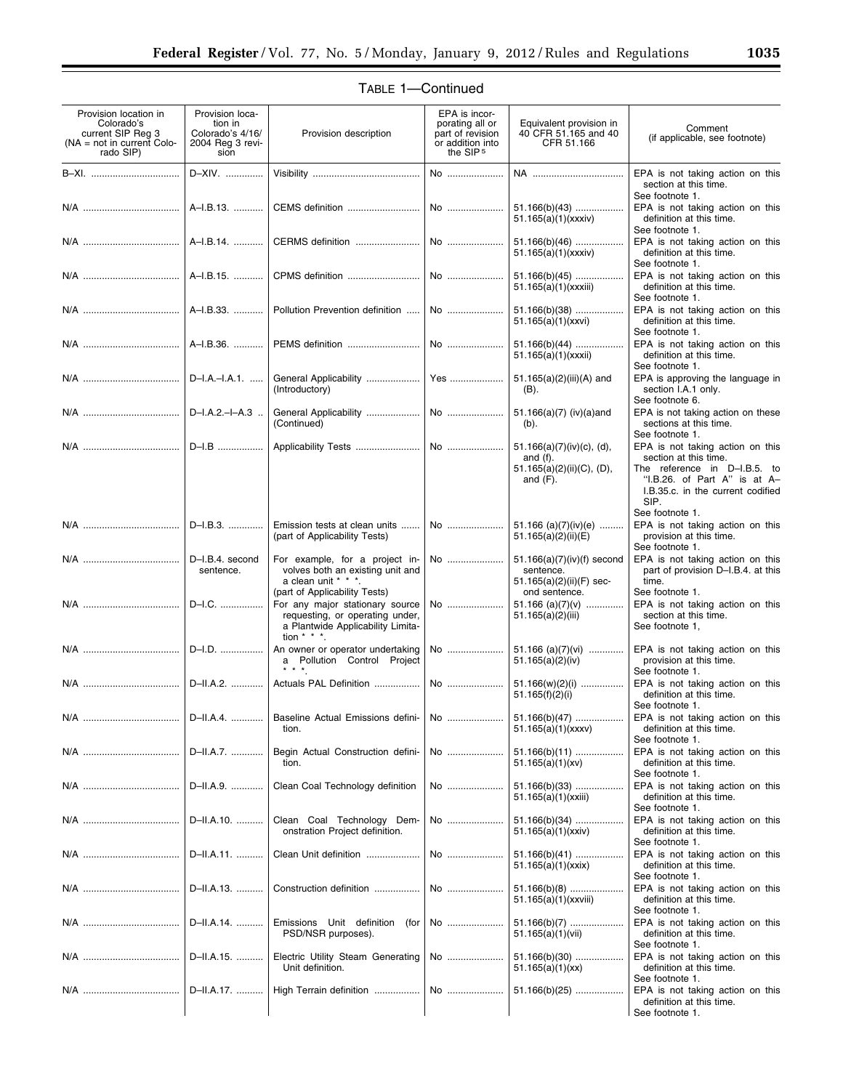| Provision location in<br>Colorado's<br>current SIP Reg 3<br>$(NA = not in current Color -$<br>rado SIP) | Provision loca-<br>tion in<br>Colorado's 4/16/<br>2004 Reg 3 revi-<br>sion | Provision description                                                                     | EPA is incor-<br>porating all or<br>part of revision<br>or addition into<br>the SIP <sup>5</sup> | Equivalent provision in<br>40 CFR 51.165 and 40<br>CFR 51.166           | Comment<br>(if applicable, see footnote)                                                          |
|---------------------------------------------------------------------------------------------------------|----------------------------------------------------------------------------|-------------------------------------------------------------------------------------------|--------------------------------------------------------------------------------------------------|-------------------------------------------------------------------------|---------------------------------------------------------------------------------------------------|
| B-XI.                                                                                                   | D-XIV.                                                                     |                                                                                           | No                                                                                               | NA                                                                      | EPA is not taking action on this<br>section at this time.<br>See footnote 1.                      |
|                                                                                                         | A-I.B.13.                                                                  |                                                                                           | No                                                                                               | $51.166(b)(43)$<br>51.165(a)(1)(xxxiv)                                  | EPA is not taking action on this<br>definition at this time.<br>See footnote 1.                   |
|                                                                                                         | A-I.B.14.                                                                  |                                                                                           |                                                                                                  | $51.166(b)(46)$<br>51.165(a)(1)(xxxiv)                                  | EPA is not taking action on this<br>definition at this time.<br>See footnote 1.                   |
|                                                                                                         | A-I.B.15.                                                                  |                                                                                           |                                                                                                  | $51.166(b)(45)$<br>51.165(a)(1)(xxxiii)                                 | EPA is not taking action on this<br>definition at this time.<br>See footnote 1.                   |
|                                                                                                         |                                                                            | A-I.B.33.    Pollution Prevention definition    No                                        |                                                                                                  | $51.166(b)(38)$<br>51.165(a)(1)(xxvi)                                   | EPA is not taking action on this<br>definition at this time.<br>See footnote 1.                   |
|                                                                                                         |                                                                            |                                                                                           | No                                                                                               | $51.166(b)(44)$<br>51.165(a)(1)(xxxii)                                  | EPA is not taking action on this<br>definition at this time.<br>See footnote 1.                   |
|                                                                                                         | D-I.A.-I.A.1.                                                              | (Introductory)                                                                            |                                                                                                  | 51.165(a)(2)(iii)(A) and<br>(B).                                        | EPA is approving the language in<br>section I.A.1 only.<br>See footnote 6.                        |
|                                                                                                         | $D - I.A.2. - I - A.3$                                                     | (Continued)                                                                               |                                                                                                  | $51.166(a)(7)$ (iv)(a)and<br>$(b)$ .                                    | EPA is not taking action on these<br>sections at this time.<br>See footnote 1.                    |
|                                                                                                         | D-I.B                                                                      |                                                                                           |                                                                                                  | 51.166(a)(7)(iv)(c), (d),<br>and $(f)$ .<br>51.165(a)(2)(ii)(C), (D),   | EPA is not taking action on this<br>section at this time.<br>The reference in D-I.B.5. to         |
|                                                                                                         |                                                                            |                                                                                           |                                                                                                  | and $(F)$ .                                                             | "I.B.26. of Part A" is at A-<br>I.B.35.c. in the current codified<br>SIP.                         |
|                                                                                                         | D-I.B.3.                                                                   | Emission tests at clean units<br>(part of Applicability Tests)                            | No                                                                                               | 51.166 (a) $(7)(iv)(e)$<br>51.165(a)(2)(ii)(E)                          | See footnote 1.<br>EPA is not taking action on this<br>provision at this time.<br>See footnote 1. |
|                                                                                                         | D-I.B.4. second<br>sentence.                                               | For example, for a project in-<br>volves both an existing unit and<br>a clean unit * * *. | No                                                                                               | $51.166(a)(7)(iv)(f)$ second<br>sentence.<br>$51.165(a)(2)(ii)(F)$ sec- | EPA is not taking action on this<br>part of provision D-I.B.4. at this<br>time.                   |
|                                                                                                         | D-I.C.                                                                     | (part of Applicability Tests)<br>For any major stationary source                          | No                                                                                               | ond sentence.<br>51.166 (a)(7)(v)                                       | See footnote 1.<br>EPA is not taking action on this                                               |
|                                                                                                         |                                                                            | requesting, or operating under,<br>a Plantwide Applicability Limita-<br>tion $* * *$ .    |                                                                                                  | 51.165(a)(2)(iii)                                                       | section at this time.<br>See footnote 1,                                                          |
|                                                                                                         | D-I.D.                                                                     | An owner or operator undertaking<br>a Pollution Control Project                           | No                                                                                               | 51.166 (a)(7)(vi)<br>51.165(a)(2)(iv)                                   | EPA is not taking action on this<br>provision at this time.<br>See footnote 1.                    |
|                                                                                                         | D-II.A.2.                                                                  | Actuals PAL Definition                                                                    | No                                                                                               | $51.166(w)(2)(i)$<br>51.165(f)(2)(i)                                    | EPA is not taking action on this<br>definition at this time.<br>See footnote 1.                   |
|                                                                                                         |                                                                            | D-II.A.4.    Baseline Actual Emissions defini-  <br>tion.                                 | No                                                                                               | 51.165(a)(1)(xxxv)                                                      | EPA is not taking action on this<br>definition at this time.<br>See footnote 1.                   |
|                                                                                                         | D-II.A.7.                                                                  | Begin Actual Construction defini-<br>tion.                                                | No                                                                                               | $51.166(b)(11)$<br>51.165(a)(1)(xv)                                     | EPA is not taking action on this<br>definition at this time.<br>See footnote 1.                   |
|                                                                                                         | D-II.A.9.                                                                  | Clean Coal Technology definition                                                          | No                                                                                               | $51.166(b)(33)$<br>51.165(a)(1)(xxiii)                                  | EPA is not taking action on this<br>definition at this time.<br>See footnote 1.                   |
|                                                                                                         | D-II.A.10.                                                                 | Clean Coal Technology Dem-<br>onstration Project definition.                              | No                                                                                               | $51.166(b)(34)$<br>51.165(a)(1)(xxiv)                                   | EPA is not taking action on this<br>definition at this time.<br>See footnote 1.                   |
|                                                                                                         | D-II.A.11.                                                                 | Clean Unit definition                                                                     | No                                                                                               | $51.166(b)(41)$<br>51.165(a)(1)(xxix)                                   | EPA is not taking action on this<br>definition at this time.<br>See footnote 1.                   |
|                                                                                                         | D-II.A.13.                                                                 | Construction definition                                                                   | No                                                                                               | $51.166(b)(8)$<br>51.165(a)(1)(xxviii)                                  | EPA is not taking action on this<br>definition at this time.<br>See footnote 1.                   |
|                                                                                                         | D-II.A.14.                                                                 | Emissions Unit definition<br>(for<br>PSD/NSR purposes).                                   | No                                                                                               | $51.166(b)(7)$<br>51.165(a)(1)(vii)                                     | EPA is not taking action on this<br>definition at this time.<br>See footnote 1.                   |
|                                                                                                         | D-II.A.15.                                                                 | Electric Utility Steam Generating<br>Unit definition.                                     | No                                                                                               | $51.166(b)(30)$<br>51.165(a)(1)(xx)                                     | EPA is not taking action on this<br>definition at this time.<br>See footnote 1.                   |
| N/A                                                                                                     | D-II.A.17.                                                                 | High Terrain definition                                                                   | No                                                                                               | $51.166(b)(25)$                                                         | EPA is not taking action on this<br>definition at this time.<br>See footnote 1.                   |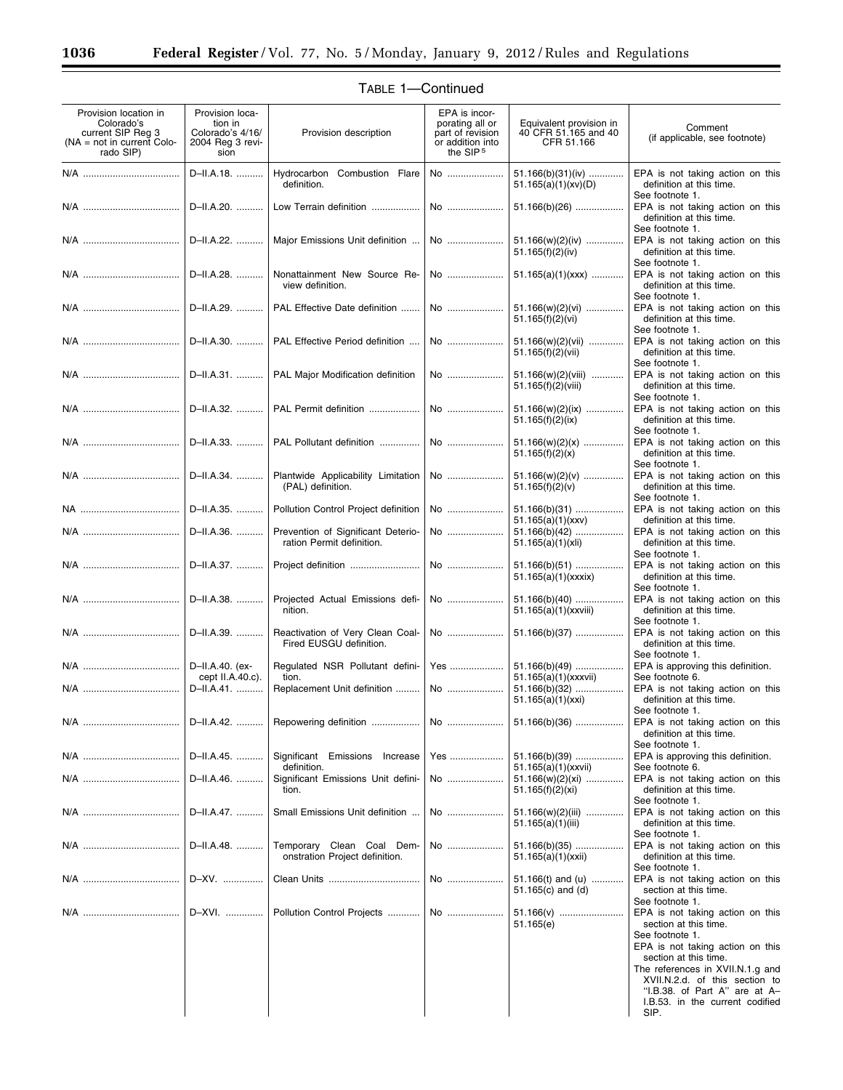| Provision location in<br>Colorado's<br>current SIP Reg 3<br>$NA = not in current Colo-$<br>rado SIP) | Provision loca-<br>tion in<br>Colorado's 4/16/<br>2004 Reg 3 revi-<br>sion | Provision description                                           | EPA is incor-<br>porating all or<br>part of revision<br>or addition into<br>the SIP <sub>5</sub> | Equivalent provision in<br>40 CFR 51.165 and 40<br>CFR 51.166 | Comment<br>(if applicable, see footnote)                                                                                                                                                                                                                                            |
|------------------------------------------------------------------------------------------------------|----------------------------------------------------------------------------|-----------------------------------------------------------------|--------------------------------------------------------------------------------------------------|---------------------------------------------------------------|-------------------------------------------------------------------------------------------------------------------------------------------------------------------------------------------------------------------------------------------------------------------------------------|
|                                                                                                      | D-II.A.18.                                                                 | Hydrocarbon Combustion Flare<br>definition.                     | No                                                                                               | 51.166(b)(31)(iv)<br>51.165(a)(1)(xv)(D)                      | EPA is not taking action on this<br>definition at this time.<br>See footnote 1.                                                                                                                                                                                                     |
|                                                                                                      | D-II.A.20.                                                                 | Low Terrain definition                                          | No                                                                                               | $51.166(b)(26)$                                               | EPA is not taking action on this<br>definition at this time.                                                                                                                                                                                                                        |
| N/A                                                                                                  | D-II.A.22.                                                                 | Major Emissions Unit definition                                 | No                                                                                               | 51.166(w)(2)(iv)<br>51.165(f)(2)(iv)                          | See footnote 1.<br>EPA is not taking action on this<br>definition at this time.                                                                                                                                                                                                     |
|                                                                                                      | D-II.A.28.                                                                 | Nonattainment New Source Re-<br>view definition.                | No                                                                                               | $51.165(a)(1)(xxx)$                                           | See footnote 1.<br>EPA is not taking action on this<br>definition at this time.<br>See footnote 1.                                                                                                                                                                                  |
|                                                                                                      | D-II.A.29.                                                                 | PAL Effective Date definition                                   | No                                                                                               | $51.166(w)(2)(vi)$<br>51.165(f)(2)(vi)                        | EPA is not taking action on this<br>definition at this time.<br>See footnote 1.                                                                                                                                                                                                     |
|                                                                                                      | D-II.A.30.                                                                 | PAL Effective Period definition                                 | No                                                                                               | 51.166(w)(2)(vii)<br>51.165(f)(2)(vii)                        | EPA is not taking action on this<br>definition at this time.<br>See footnote 1.                                                                                                                                                                                                     |
|                                                                                                      | D-II.A.31.                                                                 | PAL Major Modification definition                               | No                                                                                               | 51.166(w)(2)(viii)<br>51.165(f)(2)(viii)                      | EPA is not taking action on this<br>definition at this time.<br>See footnote 1.                                                                                                                                                                                                     |
|                                                                                                      | D-II.A.32.                                                                 | PAL Permit definition                                           | No                                                                                               | $51.166(w)(2)(ix)$<br>51.165(f)(2)(ix)                        | EPA is not taking action on this<br>definition at this time.<br>See footnote 1.                                                                                                                                                                                                     |
|                                                                                                      | D-II.A.33.                                                                 | PAL Pollutant definition                                        | No                                                                                               | $51.166(w)(2)(x)$<br>51.165(f)(2)(x)                          | EPA is not taking action on this<br>definition at this time.<br>See footnote 1.                                                                                                                                                                                                     |
|                                                                                                      | D-II.A.34.                                                                 | Plantwide Applicability Limitation<br>(PAL) definition.         | No                                                                                               | $51.166(w)(2)(v)$<br>51.165(f)(2)(v)                          | EPA is not taking action on this<br>definition at this time.<br>See footnote 1.                                                                                                                                                                                                     |
|                                                                                                      | D-II.A.35.                                                                 | Pollution Control Project definition                            | No                                                                                               | $51.166(b)(31)$<br>51.165(a)(1)(xxv)                          | EPA is not taking action on this<br>definition at this time.                                                                                                                                                                                                                        |
|                                                                                                      | D-II.A.36.                                                                 | Prevention of Significant Deterio-<br>ration Permit definition. | No                                                                                               | $51.166(b)(42)$<br>51.165(a)(1)(xii)                          | EPA is not taking action on this<br>definition at this time.<br>See footnote 1.                                                                                                                                                                                                     |
|                                                                                                      | D-II.A.37.                                                                 |                                                                 | No                                                                                               | $51.166(b)(51)$<br>51.165(a)(1)(xxx)                          | EPA is not taking action on this<br>definition at this time.<br>See footnote 1.                                                                                                                                                                                                     |
|                                                                                                      | D-II.A.38.                                                                 | Projected Actual Emissions defi-<br>nition.                     | No                                                                                               | $51.166(b)(40)$<br>51.165(a)(1)(xxviii)                       | EPA is not taking action on this<br>definition at this time.<br>See footnote 1.                                                                                                                                                                                                     |
|                                                                                                      | D-II.A.39.                                                                 | Reactivation of Very Clean Coal-<br>Fired EUSGU definition.     | No                                                                                               | $51.166(b)(37)$                                               | EPA is not taking action on this<br>definition at this time.<br>See footnote 1.                                                                                                                                                                                                     |
|                                                                                                      | D-II.A.40. (ex-<br>cept $II.A.40.c$ ).                                     | Regulated NSR Pollutant defini-<br>tion.                        | Yes                                                                                              | $51.166(b)(49)$<br>51.165(a)(1)(xxxvii)                       | EPA is approving this definition.<br>See footnote 6.                                                                                                                                                                                                                                |
|                                                                                                      | D-II.A.41.                                                                 | Replacement Unit definition                                     | No                                                                                               | $51.166(b)(32)$<br>51.165(a)(1)(xxi)                          | EPA is not taking action on this<br>definition at this time.<br>See footnote 1.                                                                                                                                                                                                     |
|                                                                                                      | D-II.A.42.                                                                 | Repowering definition                                           |                                                                                                  | $51.166(b)(36)$                                               | EPA is not taking action on this<br>definition at this time.<br>See footnote 1.                                                                                                                                                                                                     |
|                                                                                                      | D-II.A.45.                                                                 | Significant Emissions Increase<br>definition.                   | Yes                                                                                              | $51.166(b)(39)$<br>51.165(a)(1)(xxvii)                        | EPA is approving this definition.<br>See footnote 6.                                                                                                                                                                                                                                |
|                                                                                                      | D-II.A.46.                                                                 | Significant Emissions Unit defini-<br>tion.                     | No                                                                                               | $51.166(w)(2)(xi)$<br>51.165(f)(2)(xi)                        | EPA is not taking action on this<br>definition at this time.<br>See footnote 1.                                                                                                                                                                                                     |
|                                                                                                      | D-II.A.47.                                                                 | Small Emissions Unit definition                                 | No                                                                                               | 51.166(w)(2)(iii)<br>51.165(a)(1)(iii)                        | EPA is not taking action on this<br>definition at this time.                                                                                                                                                                                                                        |
|                                                                                                      | D-II.A.48.                                                                 | Temporary Clean Coal Dem-<br>onstration Project definition.     | No                                                                                               | $51.166(b)(35)$<br>51.165(a)(1)(xxii)                         | See footnote 1.<br>EPA is not taking action on this<br>definition at this time.                                                                                                                                                                                                     |
|                                                                                                      | D-XV.                                                                      | Clean Units                                                     | No                                                                                               | 51.166(t) and (u)                                             | See footnote 1.<br>EPA is not taking action on this                                                                                                                                                                                                                                 |
|                                                                                                      |                                                                            |                                                                 |                                                                                                  | 51.165 $(c)$ and $(d)$                                        | section at this time.<br>See footnote 1.                                                                                                                                                                                                                                            |
|                                                                                                      | D-XVI.                                                                     | Pollution Control Projects                                      | No                                                                                               | 51.166(v)<br>51.165(e)                                        | EPA is not taking action on this<br>section at this time.<br>See footnote 1.<br>EPA is not taking action on this<br>section at this time.<br>The references in XVII.N.1.g and<br>XVII.N.2.d. of this section to<br>"I.B.38. of Part A" are at A-<br>I.B.53. in the current codified |
|                                                                                                      |                                                                            |                                                                 |                                                                                                  |                                                               | SIP.                                                                                                                                                                                                                                                                                |

Ξ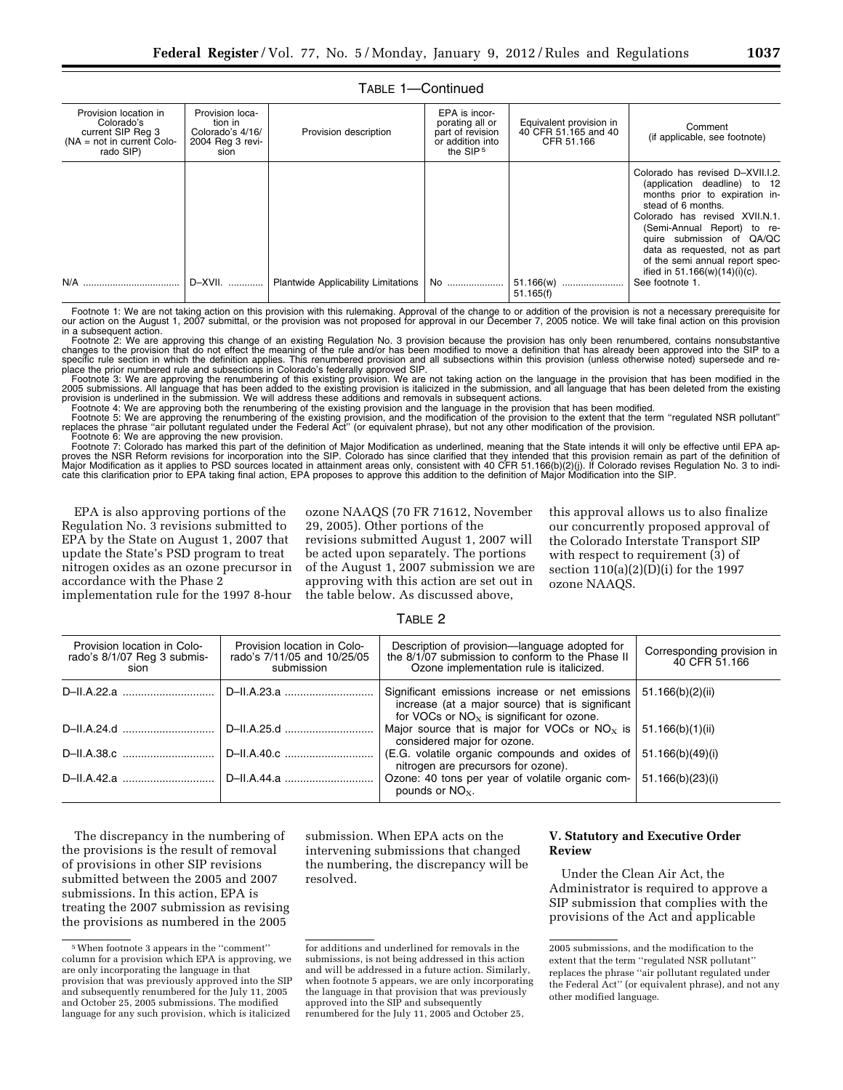| Provision location in<br>Colorado's<br>current SIP Reg 3<br>$NA = not in current Color$<br>rado SIP) | Provision loca-<br>tion in<br>Colorado's 4/16/<br>2004 Reg 3 revi-<br>sion | Provision description                      | EPA is incor-<br>porating all or<br>part of revision<br>or addition into<br>the SIP <sub>5</sub> | Equivalent provision in<br>40 CFR 51.165 and 40<br>CFR 51.166 | Comment<br>(if applicable, see footnote)                                                                                                                                                                                                                                                                                                           |
|------------------------------------------------------------------------------------------------------|----------------------------------------------------------------------------|--------------------------------------------|--------------------------------------------------------------------------------------------------|---------------------------------------------------------------|----------------------------------------------------------------------------------------------------------------------------------------------------------------------------------------------------------------------------------------------------------------------------------------------------------------------------------------------------|
|                                                                                                      | D-XVII.                                                                    | <b>Plantwide Applicability Limitations</b> | No                                                                                               | 51.166(w)<br>51.165(f)                                        | Colorado has revised D-XVII.I.2.<br>(application deadline) to 12<br>months prior to expiration in-<br>stead of 6 months.<br>Colorado has revised XVII.N.1.<br>(Semi-Annual Report) to re-<br>quire submission of QA/QC<br>data as requested, not as part<br>of the semi annual report spec-<br>ified in $51.166(w)(14)(i)(c)$ .<br>See footnote 1. |

Footnote 1: We are not taking action on this provision with this rulemaking. Approval of the change to or addition of the provision is not a necessary prerequisite for our action on the August 1, 2007 submittal, or the provision was not proposed for approval in our December 7, 2005 notice. We will take final action on this provision in a subsequent action.

Footnote 2: We are approving this change of an existing Regulation No. 3 provision because the provision has only been renumbered, contains nonsubstantive changes to the provision that do not effect the meaning of the rule and/or has been modified to move a definition that has already been approved into the SIP to a<br>specific rule section in which the definition applies. This place the prior numbered rule and subsections in Colorado's federally approved SIP.

Footnote 3: We are approving the renumbering of this existing provision. We are not taking action on the language in the provision that has been modified in the<br>2005 submissions. All language that has been added to the exi provision is underlined in the submission. We will address these additions and removals in subsequent actions.

Footnote 4: We are approving both the renumbering of the existing provision and the language in the provision that has been modified.<br>Footnote 5: We are approving the renumbering of the existing provision, and the modifica

Footnote 6: We are approving the new provision.<br>Footnote 7: Colorado has marked this part of the definition of Major Modification as underlined, meaning that the State intends it will only be effective until EPA approves the NSR Reform revisions for incorporation into the SIP. Colorado has since clarified that they intended that this provision remain as part of the definition of Major Modification as it applies to PSD sources located in attainment areas only, consistent with 40 CFR 51.166(b)(2)(j). If Colorado revises Regulation No. 3 to indi-<br>cate this clarification prior to EPA taking final acti

EPA is also approving portions of the Regulation No. 3 revisions submitted to EPA by the State on August 1, 2007 that update the State's PSD program to treat nitrogen oxides as an ozone precursor in accordance with the Phase 2 implementation rule for the 1997 8-hour ozone NAAQS (70 FR 71612, November 29, 2005). Other portions of the revisions submitted August 1, 2007 will be acted upon separately. The portions of the August 1, 2007 submission we are

approving with this action are set out in the table below. As discussed above,

this approval allows us to also finalize our concurrently proposed approval of the Colorado Interstate Transport SIP with respect to requirement (3) of section  $110(a)(2)(D)(i)$  for the 1997 ozone NAAQS.

| Provision location in Colo-<br>rado's 8/1/07 Reg 3 submis-<br>sion | Provision location in Colo-<br>rado's 7/11/05 and 10/25/05<br>submission | Description of provision—language adopted for<br>the 8/1/07 submission to conform to the Phase II<br>Ozone implementation rule is italicized.        | Corresponding provision in<br>40 CFR 51.166 |
|--------------------------------------------------------------------|--------------------------------------------------------------------------|------------------------------------------------------------------------------------------------------------------------------------------------------|---------------------------------------------|
|                                                                    | D-II.A.23.a                                                              | Significant emissions increase or net emissions  <br>increase (at a major source) that is significant<br>for VOCs or $NOx$ is significant for ozone. | 51.166(b)(2)(ii)                            |
|                                                                    | D-II.A.25.d                                                              | Major source that is major for VOCs or NO <sub>x</sub> is  <br>considered major for ozone.                                                           | 51.166(b)(1)(ii)                            |
| D-II.A.38.c                                                        | D-II.A.40.c                                                              | (E.G. volatile organic compounds and oxides of $\vert$<br>nitrogen are precursors for ozone).                                                        | 51.166(b)(49)(i)                            |
| D-II.A.42.a                                                        | D-II.A.44.a                                                              | Ozone: 40 tons per year of volatile organic com-<br>pounds or $NOx$ .                                                                                | 51.166(b)(23)(i)                            |

# TABLE 2

The discrepancy in the numbering of the provisions is the result of removal of provisions in other SIP revisions submitted between the 2005 and 2007 submissions. In this action, EPA is treating the 2007 submission as revising the provisions as numbered in the 2005

submission. When EPA acts on the intervening submissions that changed the numbering, the discrepancy will be resolved.

# **V. Statutory and Executive Order Review**

Under the Clean Air Act, the Administrator is required to approve a SIP submission that complies with the provisions of the Act and applicable

<sup>5</sup>When footnote 3 appears in the ''comment'' column for a provision which EPA is approving, we are only incorporating the language in that provision that was previously approved into the SIP and subsequently renumbered for the July 11, 2005 and October 25, 2005 submissions. The modified language for any such provision, which is italicized

for additions and underlined for removals in the submissions, is not being addressed in this action and will be addressed in a future action. Similarly, when footnote 5 appears, we are only incorporating the language in that provision that was previously approved into the SIP and subsequently renumbered for the July 11, 2005 and October 25,

<sup>2005</sup> submissions, and the modification to the extent that the term ''regulated NSR pollutant'' replaces the phrase ''air pollutant regulated under the Federal Act'' (or equivalent phrase), and not any other modified language.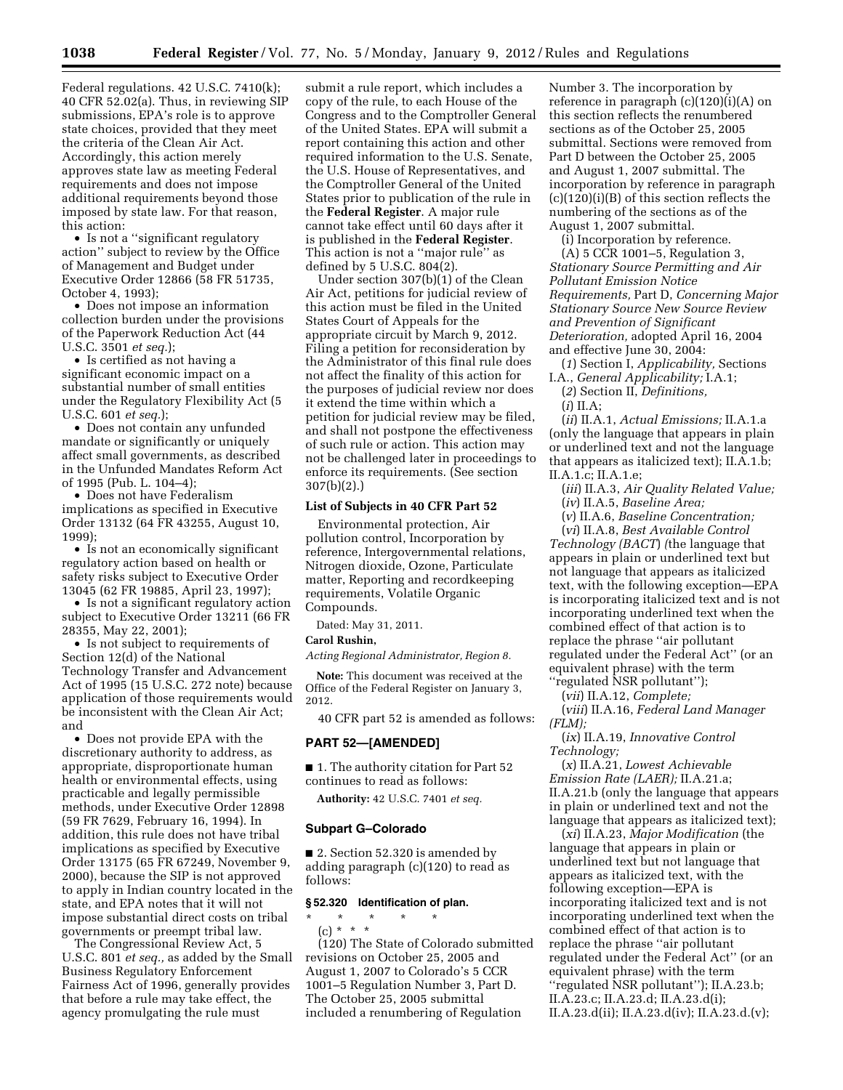Federal regulations. 42 U.S.C. 7410(k); 40 CFR 52.02(a). Thus, in reviewing SIP submissions, EPA's role is to approve state choices, provided that they meet the criteria of the Clean Air Act. Accordingly, this action merely approves state law as meeting Federal requirements and does not impose additional requirements beyond those imposed by state law. For that reason, this action:

• Is not a ''significant regulatory action'' subject to review by the Office of Management and Budget under Executive Order 12866 (58 FR 51735, October 4, 1993);

• Does not impose an information collection burden under the provisions of the Paperwork Reduction Act (44 U.S.C. 3501 *et seq.*);

• Is certified as not having a significant economic impact on a substantial number of small entities under the Regulatory Flexibility Act (5 U.S.C. 601 *et seq.*);

• Does not contain any unfunded mandate or significantly or uniquely affect small governments, as described in the Unfunded Mandates Reform Act of 1995 (Pub. L. 104–4);

• Does not have Federalism implications as specified in Executive Order 13132 (64 FR 43255, August 10, 1999);

• Is not an economically significant regulatory action based on health or safety risks subject to Executive Order 13045 (62 FR 19885, April 23, 1997);

• Is not a significant regulatory action subject to Executive Order 13211 (66 FR 28355, May 22, 2001);

• Is not subject to requirements of Section 12(d) of the National Technology Transfer and Advancement Act of 1995 (15 U.S.C. 272 note) because application of those requirements would be inconsistent with the Clean Air Act; and

• Does not provide EPA with the discretionary authority to address, as appropriate, disproportionate human health or environmental effects, using practicable and legally permissible methods, under Executive Order 12898 (59 FR 7629, February 16, 1994). In addition, this rule does not have tribal implications as specified by Executive Order 13175 (65 FR 67249, November 9, 2000), because the SIP is not approved to apply in Indian country located in the state, and EPA notes that it will not impose substantial direct costs on tribal governments or preempt tribal law.

The Congressional Review Act, 5 U.S.C. 801 *et seq.,* as added by the Small Business Regulatory Enforcement Fairness Act of 1996, generally provides that before a rule may take effect, the agency promulgating the rule must

submit a rule report, which includes a copy of the rule, to each House of the Congress and to the Comptroller General of the United States. EPA will submit a report containing this action and other required information to the U.S. Senate, the U.S. House of Representatives, and the Comptroller General of the United States prior to publication of the rule in the **Federal Register**. A major rule cannot take effect until 60 days after it is published in the **Federal Register**. This action is not a ''major rule'' as defined by 5 U.S.C. 804(2).

Under section 307(b)(1) of the Clean Air Act, petitions for judicial review of this action must be filed in the United States Court of Appeals for the appropriate circuit by March 9, 2012. Filing a petition for reconsideration by the Administrator of this final rule does not affect the finality of this action for the purposes of judicial review nor does it extend the time within which a petition for judicial review may be filed, and shall not postpone the effectiveness of such rule or action. This action may not be challenged later in proceedings to enforce its requirements. (See section 307(b)(2).)

### **List of Subjects in 40 CFR Part 52**

Environmental protection, Air pollution control, Incorporation by reference, Intergovernmental relations, Nitrogen dioxide, Ozone, Particulate matter, Reporting and recordkeeping requirements, Volatile Organic Compounds.

Dated: May 31, 2011.

### **Carol Rushin,**

*Acting Regional Administrator, Region 8.* 

**Note:** This document was received at the Office of the Federal Register on January 3, 2012.

40 CFR part 52 is amended as follows:

### **PART 52—[AMENDED]**

■ 1. The authority citation for Part 52 continues to read as follows:

**Authority:** 42 U.S.C. 7401 *et seq.* 

### **Subpart G–Colorado**

■ 2. Section 52.320 is amended by adding paragraph (c)(120) to read as follows:

### **§ 52.320 Identification of plan.**

\* \* \* \* \* (c) \* \* \* (120) The State of Colorado submitted revisions on October 25, 2005 and August 1, 2007 to Colorado's 5 CCR 1001–5 Regulation Number 3, Part D. The October 25, 2005 submittal included a renumbering of Regulation

Number 3. The incorporation by reference in paragraph (c)(120)(i)(A) on this section reflects the renumbered sections as of the October 25, 2005 submittal. Sections were removed from Part D between the October 25, 2005 and August 1, 2007 submittal. The incorporation by reference in paragraph (c)(120)(i)(B) of this section reflects the numbering of the sections as of the August 1, 2007 submittal.

(i) Incorporation by reference.

(A) 5 CCR 1001–5, Regulation 3, *Stationary Source Permitting and Air Pollutant Emission Notice Requirements,* Part D, *Concerning Major Stationary Source New Source Review and Prevention of Significant Deterioration,* adopted April 16, 2004 and effective June 30, 2004:

(*1*) Section I, *Applicability,* Sections I.A., *General Applicability;* I.A.1;

(*2*) Section II, *Definitions,*  (*i*) II.A;

(*ii*) II.A.1, *Actual Emissions;* II.A.1.a (only the language that appears in plain or underlined text and not the language that appears as italicized text); II.A.1.b; II.A.1.c; II.A.1.e;

(*iii*) II.A.3, *Air Quality Related Value;*  (*iv*) II.A.5, *Baseline Area;* 

(*v*) II.A.6, *Baseline Concentration;* 

(*vi*) II.A.8, *Best Available Control Technology (BACT*) *(*the language that appears in plain or underlined text but not language that appears as italicized text, with the following exception—EPA is incorporating italicized text and is not incorporating underlined text when the combined effect of that action is to replace the phrase ''air pollutant regulated under the Federal Act'' (or an equivalent phrase) with the term ''regulated NSR pollutant'');

(*vii*) II.A.12, *Complete;* 

(*viii*) II.A.16, *Federal Land Manager (FLM);* 

(*ix*) II.A.19, *Innovative Control Technology;* 

(*x*) II.A.21, *Lowest Achievable Emission Rate (LAER);* II.A.21.a; II.A.21.b (only the language that appears in plain or underlined text and not the language that appears as italicized text);

(*xi*) II.A.23, *Major Modification* (the language that appears in plain or underlined text but not language that appears as italicized text, with the following exception—EPA is incorporating italicized text and is not incorporating underlined text when the combined effect of that action is to replace the phrase ''air pollutant regulated under the Federal Act'' (or an equivalent phrase) with the term ''regulated NSR pollutant''); II.A.23.b; II.A.23.c; II.A.23.d; II.A.23.d(i); II.A.23.d(ii); II.A.23.d(iv); II.A.23.d.(v);